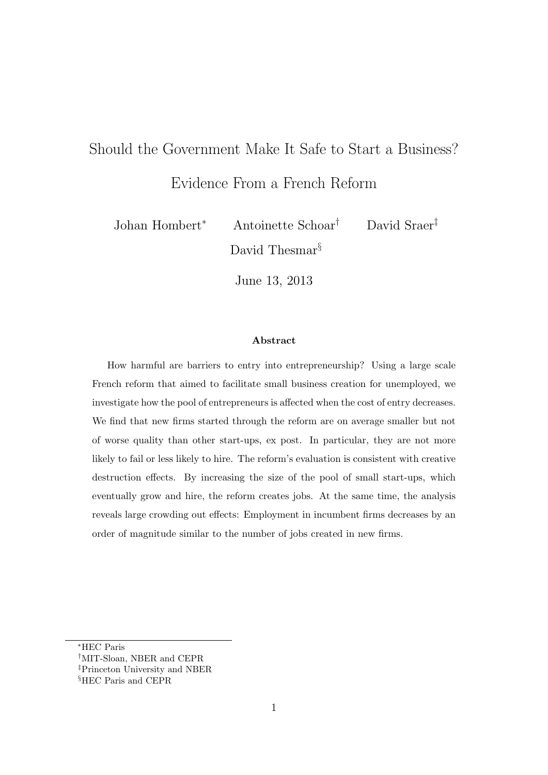# Should the Government Make It Safe to Start a Business? Evidence From a French Reform

Johan Hombert<sup>∗</sup> Antoinette Schoar† David Sraer‡ David Thesmar<sup>§</sup>

June 13, 2013

#### Abstract

How harmful are barriers to entry into entrepreneurship? Using a large scale French reform that aimed to facilitate small business creation for unemployed, we investigate how the pool of entrepreneurs is affected when the cost of entry decreases. We find that new firms started through the reform are on average smaller but not of worse quality than other start-ups, ex post. In particular, they are not more likely to fail or less likely to hire. The reform's evaluation is consistent with creative destruction effects. By increasing the size of the pool of small start-ups, which eventually grow and hire, the reform creates jobs. At the same time, the analysis reveals large crowding out effects: Employment in incumbent firms decreases by an order of magnitude similar to the number of jobs created in new firms.

<sup>∗</sup>HEC Paris

<sup>†</sup>MIT-Sloan, NBER and CEPR

<sup>‡</sup>Princeton University and NBER

<sup>§</sup>HEC Paris and CEPR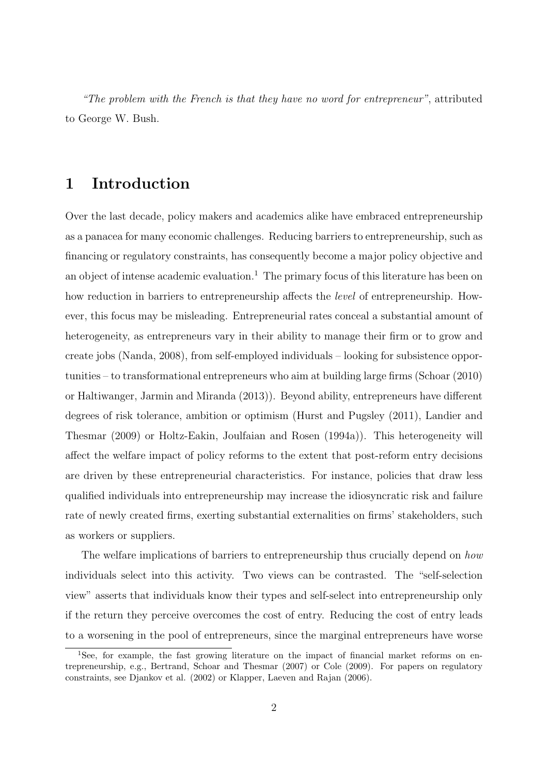"The problem with the French is that they have no word for entrepreneur", attributed to George W. Bush.

# 1 Introduction

Over the last decade, policy makers and academics alike have embraced entrepreneurship as a panacea for many economic challenges. Reducing barriers to entrepreneurship, such as financing or regulatory constraints, has consequently become a major policy objective and an object of intense academic evaluation.<sup>1</sup> The primary focus of this literature has been on how reduction in barriers to entrepreneurship affects the *level* of entrepreneurship. However, this focus may be misleading. Entrepreneurial rates conceal a substantial amount of heterogeneity, as entrepreneurs vary in their ability to manage their firm or to grow and create jobs (Nanda, 2008), from self-employed individuals – looking for subsistence opportunities – to transformational entrepreneurs who aim at building large firms (Schoar (2010) or Haltiwanger, Jarmin and Miranda (2013)). Beyond ability, entrepreneurs have different degrees of risk tolerance, ambition or optimism (Hurst and Pugsley (2011), Landier and Thesmar (2009) or Holtz-Eakin, Joulfaian and Rosen (1994a)). This heterogeneity will affect the welfare impact of policy reforms to the extent that post-reform entry decisions are driven by these entrepreneurial characteristics. For instance, policies that draw less qualified individuals into entrepreneurship may increase the idiosyncratic risk and failure rate of newly created firms, exerting substantial externalities on firms' stakeholders, such as workers or suppliers.

The welfare implications of barriers to entrepreneurship thus crucially depend on how individuals select into this activity. Two views can be contrasted. The "self-selection view" asserts that individuals know their types and self-select into entrepreneurship only if the return they perceive overcomes the cost of entry. Reducing the cost of entry leads to a worsening in the pool of entrepreneurs, since the marginal entrepreneurs have worse

<sup>&</sup>lt;sup>1</sup>See, for example, the fast growing literature on the impact of financial market reforms on entrepreneurship, e.g., Bertrand, Schoar and Thesmar (2007) or Cole (2009). For papers on regulatory constraints, see Djankov et al. (2002) or Klapper, Laeven and Rajan (2006).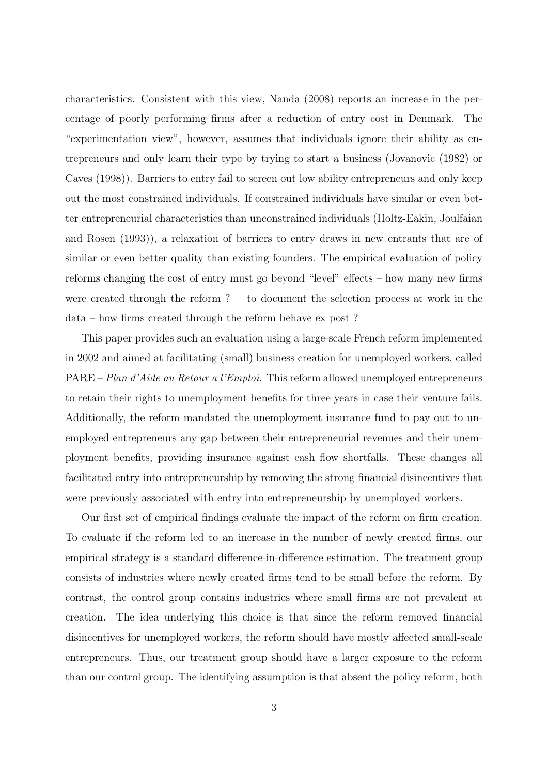characteristics. Consistent with this view, Nanda (2008) reports an increase in the percentage of poorly performing firms after a reduction of entry cost in Denmark. The "experimentation view", however, assumes that individuals ignore their ability as entrepreneurs and only learn their type by trying to start a business (Jovanovic (1982) or Caves (1998)). Barriers to entry fail to screen out low ability entrepreneurs and only keep out the most constrained individuals. If constrained individuals have similar or even better entrepreneurial characteristics than unconstrained individuals (Holtz-Eakin, Joulfaian and Rosen (1993)), a relaxation of barriers to entry draws in new entrants that are of similar or even better quality than existing founders. The empirical evaluation of policy reforms changing the cost of entry must go beyond "level" effects – how many new firms were created through the reform ? – to document the selection process at work in the data – how firms created through the reform behave ex post ?

This paper provides such an evaluation using a large-scale French reform implemented in 2002 and aimed at facilitating (small) business creation for unemployed workers, called PARE – Plan d'Aide au Retour a l'Emploi. This reform allowed unemployed entrepreneurs to retain their rights to unemployment benefits for three years in case their venture fails. Additionally, the reform mandated the unemployment insurance fund to pay out to unemployed entrepreneurs any gap between their entrepreneurial revenues and their unemployment benefits, providing insurance against cash flow shortfalls. These changes all facilitated entry into entrepreneurship by removing the strong financial disincentives that were previously associated with entry into entrepreneurship by unemployed workers.

Our first set of empirical findings evaluate the impact of the reform on firm creation. To evaluate if the reform led to an increase in the number of newly created firms, our empirical strategy is a standard difference-in-difference estimation. The treatment group consists of industries where newly created firms tend to be small before the reform. By contrast, the control group contains industries where small firms are not prevalent at creation. The idea underlying this choice is that since the reform removed financial disincentives for unemployed workers, the reform should have mostly affected small-scale entrepreneurs. Thus, our treatment group should have a larger exposure to the reform than our control group. The identifying assumption is that absent the policy reform, both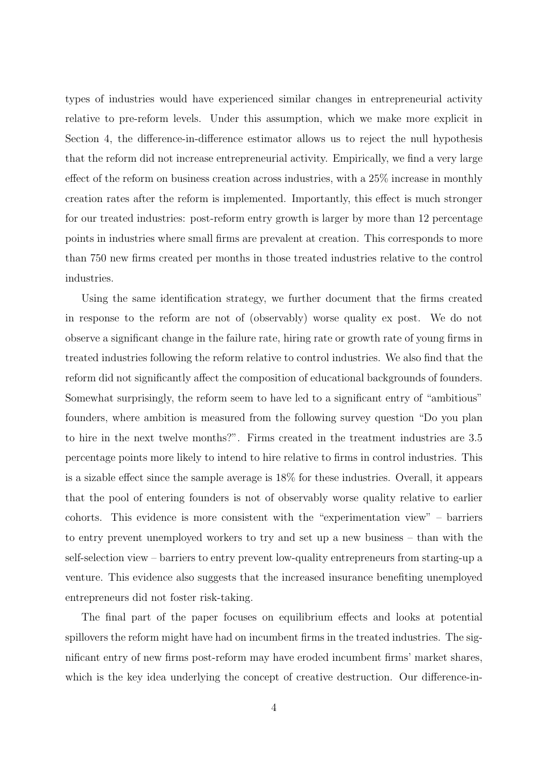types of industries would have experienced similar changes in entrepreneurial activity relative to pre-reform levels. Under this assumption, which we make more explicit in Section 4, the difference-in-difference estimator allows us to reject the null hypothesis that the reform did not increase entrepreneurial activity. Empirically, we find a very large effect of the reform on business creation across industries, with a 25% increase in monthly creation rates after the reform is implemented. Importantly, this effect is much stronger for our treated industries: post-reform entry growth is larger by more than 12 percentage points in industries where small firms are prevalent at creation. This corresponds to more than 750 new firms created per months in those treated industries relative to the control industries.

Using the same identification strategy, we further document that the firms created in response to the reform are not of (observably) worse quality ex post. We do not observe a significant change in the failure rate, hiring rate or growth rate of young firms in treated industries following the reform relative to control industries. We also find that the reform did not significantly affect the composition of educational backgrounds of founders. Somewhat surprisingly, the reform seem to have led to a significant entry of "ambitious" founders, where ambition is measured from the following survey question "Do you plan to hire in the next twelve months?". Firms created in the treatment industries are 3.5 percentage points more likely to intend to hire relative to firms in control industries. This is a sizable effect since the sample average is 18% for these industries. Overall, it appears that the pool of entering founders is not of observably worse quality relative to earlier cohorts. This evidence is more consistent with the "experimentation view" – barriers to entry prevent unemployed workers to try and set up a new business – than with the self-selection view – barriers to entry prevent low-quality entrepreneurs from starting-up a venture. This evidence also suggests that the increased insurance benefiting unemployed entrepreneurs did not foster risk-taking.

The final part of the paper focuses on equilibrium effects and looks at potential spillovers the reform might have had on incumbent firms in the treated industries. The significant entry of new firms post-reform may have eroded incumbent firms' market shares, which is the key idea underlying the concept of creative destruction. Our difference-in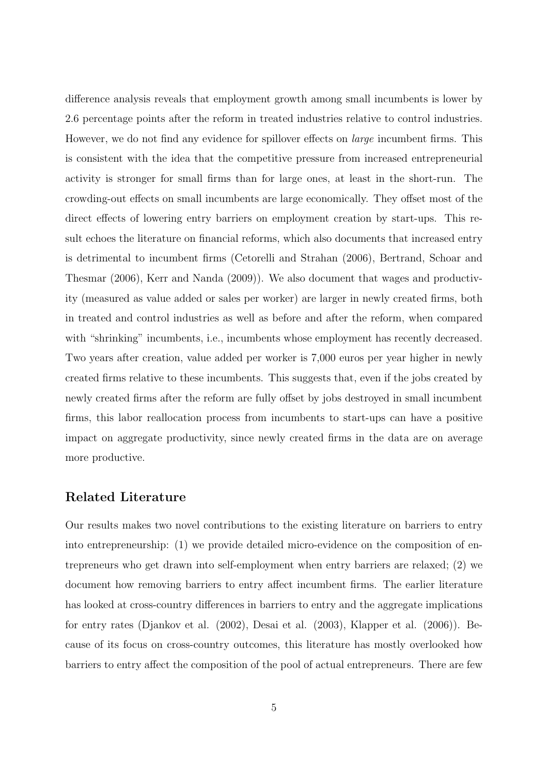difference analysis reveals that employment growth among small incumbents is lower by 2.6 percentage points after the reform in treated industries relative to control industries. However, we do not find any evidence for spillover effects on *large* incumbent firms. This is consistent with the idea that the competitive pressure from increased entrepreneurial activity is stronger for small firms than for large ones, at least in the short-run. The crowding-out effects on small incumbents are large economically. They offset most of the direct effects of lowering entry barriers on employment creation by start-ups. This result echoes the literature on financial reforms, which also documents that increased entry is detrimental to incumbent firms (Cetorelli and Strahan (2006), Bertrand, Schoar and Thesmar (2006), Kerr and Nanda (2009)). We also document that wages and productivity (measured as value added or sales per worker) are larger in newly created firms, both in treated and control industries as well as before and after the reform, when compared with "shrinking" incumbents, i.e., incumbents whose employment has recently decreased. Two years after creation, value added per worker is 7,000 euros per year higher in newly created firms relative to these incumbents. This suggests that, even if the jobs created by newly created firms after the reform are fully offset by jobs destroyed in small incumbent firms, this labor reallocation process from incumbents to start-ups can have a positive impact on aggregate productivity, since newly created firms in the data are on average more productive.

# Related Literature

Our results makes two novel contributions to the existing literature on barriers to entry into entrepreneurship: (1) we provide detailed micro-evidence on the composition of entrepreneurs who get drawn into self-employment when entry barriers are relaxed; (2) we document how removing barriers to entry affect incumbent firms. The earlier literature has looked at cross-country differences in barriers to entry and the aggregate implications for entry rates (Djankov et al. (2002), Desai et al. (2003), Klapper et al. (2006)). Because of its focus on cross-country outcomes, this literature has mostly overlooked how barriers to entry affect the composition of the pool of actual entrepreneurs. There are few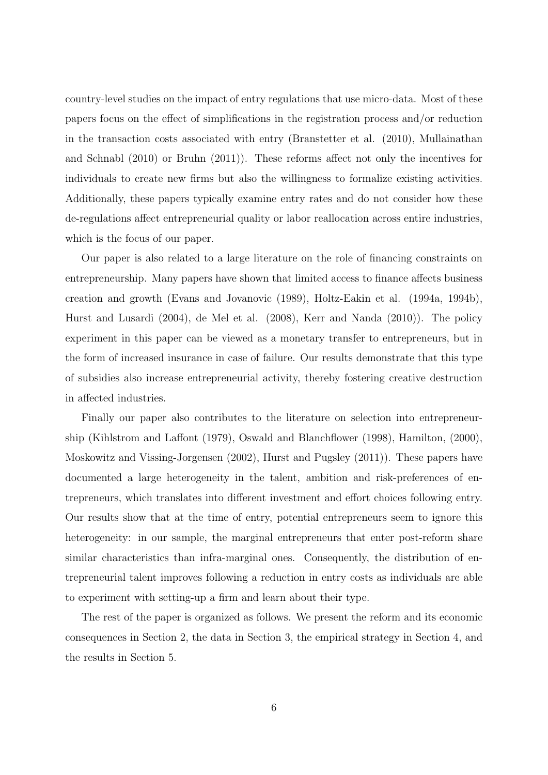country-level studies on the impact of entry regulations that use micro-data. Most of these papers focus on the effect of simplifications in the registration process and/or reduction in the transaction costs associated with entry (Branstetter et al. (2010), Mullainathan and Schnabl (2010) or Bruhn (2011)). These reforms affect not only the incentives for individuals to create new firms but also the willingness to formalize existing activities. Additionally, these papers typically examine entry rates and do not consider how these de-regulations affect entrepreneurial quality or labor reallocation across entire industries, which is the focus of our paper.

Our paper is also related to a large literature on the role of financing constraints on entrepreneurship. Many papers have shown that limited access to finance affects business creation and growth (Evans and Jovanovic (1989), Holtz-Eakin et al. (1994a, 1994b), Hurst and Lusardi (2004), de Mel et al. (2008), Kerr and Nanda (2010)). The policy experiment in this paper can be viewed as a monetary transfer to entrepreneurs, but in the form of increased insurance in case of failure. Our results demonstrate that this type of subsidies also increase entrepreneurial activity, thereby fostering creative destruction in affected industries.

Finally our paper also contributes to the literature on selection into entrepreneurship (Kihlstrom and Laffont (1979), Oswald and Blanchflower (1998), Hamilton, (2000), Moskowitz and Vissing-Jorgensen (2002), Hurst and Pugsley (2011)). These papers have documented a large heterogeneity in the talent, ambition and risk-preferences of entrepreneurs, which translates into different investment and effort choices following entry. Our results show that at the time of entry, potential entrepreneurs seem to ignore this heterogeneity: in our sample, the marginal entrepreneurs that enter post-reform share similar characteristics than infra-marginal ones. Consequently, the distribution of entrepreneurial talent improves following a reduction in entry costs as individuals are able to experiment with setting-up a firm and learn about their type.

The rest of the paper is organized as follows. We present the reform and its economic consequences in Section 2, the data in Section 3, the empirical strategy in Section 4, and the results in Section 5.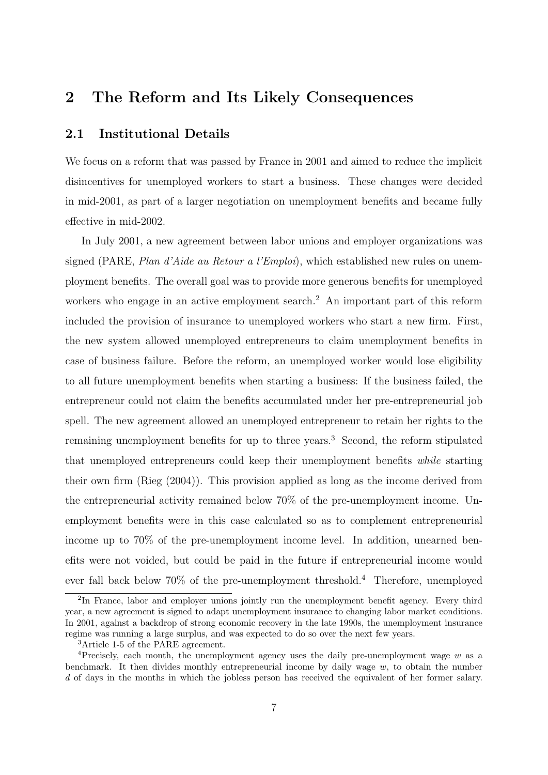# 2 The Reform and Its Likely Consequences

# 2.1 Institutional Details

We focus on a reform that was passed by France in 2001 and aimed to reduce the implicit disincentives for unemployed workers to start a business. These changes were decided in mid-2001, as part of a larger negotiation on unemployment benefits and became fully effective in mid-2002.

In July 2001, a new agreement between labor unions and employer organizations was signed (PARE, Plan d'Aide au Retour a l'Emploi), which established new rules on unemployment benefits. The overall goal was to provide more generous benefits for unemployed workers who engage in an active employment search.<sup>2</sup> An important part of this reform included the provision of insurance to unemployed workers who start a new firm. First, the new system allowed unemployed entrepreneurs to claim unemployment benefits in case of business failure. Before the reform, an unemployed worker would lose eligibility to all future unemployment benefits when starting a business: If the business failed, the entrepreneur could not claim the benefits accumulated under her pre-entrepreneurial job spell. The new agreement allowed an unemployed entrepreneur to retain her rights to the remaining unemployment benefits for up to three years.<sup>3</sup> Second, the reform stipulated that unemployed entrepreneurs could keep their unemployment benefits while starting their own firm (Rieg (2004)). This provision applied as long as the income derived from the entrepreneurial activity remained below 70% of the pre-unemployment income. Unemployment benefits were in this case calculated so as to complement entrepreneurial income up to 70% of the pre-unemployment income level. In addition, unearned benefits were not voided, but could be paid in the future if entrepreneurial income would ever fall back below 70% of the pre-unemployment threshold.<sup>4</sup> Therefore, unemployed

<sup>&</sup>lt;sup>2</sup>In France, labor and employer unions jointly run the unemployment benefit agency. Every third year, a new agreement is signed to adapt unemployment insurance to changing labor market conditions. In 2001, against a backdrop of strong economic recovery in the late 1990s, the unemployment insurance regime was running a large surplus, and was expected to do so over the next few years.

<sup>3</sup>Article 1-5 of the PARE agreement.

<sup>&</sup>lt;sup>4</sup>Precisely, each month, the unemployment agency uses the daily pre-unemployment wage w as a benchmark. It then divides monthly entrepreneurial income by daily wage  $w$ , to obtain the number d of days in the months in which the jobless person has received the equivalent of her former salary.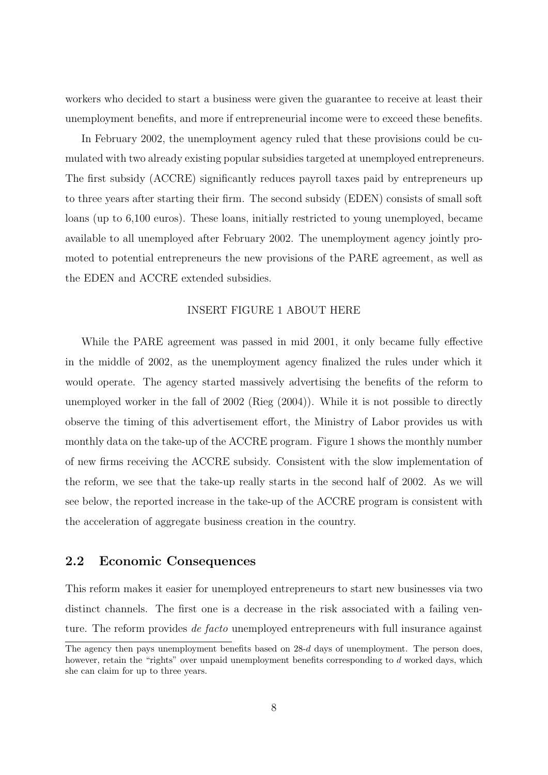workers who decided to start a business were given the guarantee to receive at least their unemployment benefits, and more if entrepreneurial income were to exceed these benefits.

In February 2002, the unemployment agency ruled that these provisions could be cumulated with two already existing popular subsidies targeted at unemployed entrepreneurs. The first subsidy (ACCRE) significantly reduces payroll taxes paid by entrepreneurs up to three years after starting their firm. The second subsidy (EDEN) consists of small soft loans (up to 6,100 euros). These loans, initially restricted to young unemployed, became available to all unemployed after February 2002. The unemployment agency jointly promoted to potential entrepreneurs the new provisions of the PARE agreement, as well as the EDEN and ACCRE extended subsidies.

#### INSERT FIGURE 1 ABOUT HERE

While the PARE agreement was passed in mid 2001, it only became fully effective in the middle of 2002, as the unemployment agency finalized the rules under which it would operate. The agency started massively advertising the benefits of the reform to unemployed worker in the fall of 2002 (Rieg (2004)). While it is not possible to directly observe the timing of this advertisement effort, the Ministry of Labor provides us with monthly data on the take-up of the ACCRE program. Figure 1 shows the monthly number of new firms receiving the ACCRE subsidy. Consistent with the slow implementation of the reform, we see that the take-up really starts in the second half of 2002. As we will see below, the reported increase in the take-up of the ACCRE program is consistent with the acceleration of aggregate business creation in the country.

# 2.2 Economic Consequences

This reform makes it easier for unemployed entrepreneurs to start new businesses via two distinct channels. The first one is a decrease in the risk associated with a failing venture. The reform provides *de facto* unemployed entrepreneurs with full insurance against

The agency then pays unemployment benefits based on  $28-d$  days of unemployment. The person does, however, retain the "rights" over unpaid unemployment benefits corresponding to d worked days, which she can claim for up to three years.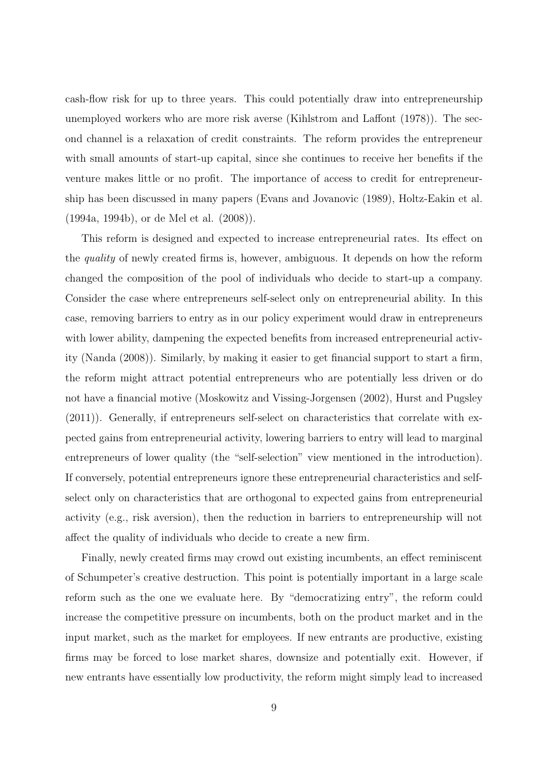cash-flow risk for up to three years. This could potentially draw into entrepreneurship unemployed workers who are more risk averse (Kihlstrom and Laffont (1978)). The second channel is a relaxation of credit constraints. The reform provides the entrepreneur with small amounts of start-up capital, since she continues to receive her benefits if the venture makes little or no profit. The importance of access to credit for entrepreneurship has been discussed in many papers (Evans and Jovanovic (1989), Holtz-Eakin et al. (1994a, 1994b), or de Mel et al. (2008)).

This reform is designed and expected to increase entrepreneurial rates. Its effect on the quality of newly created firms is, however, ambiguous. It depends on how the reform changed the composition of the pool of individuals who decide to start-up a company. Consider the case where entrepreneurs self-select only on entrepreneurial ability. In this case, removing barriers to entry as in our policy experiment would draw in entrepreneurs with lower ability, dampening the expected benefits from increased entrepreneurial activity (Nanda (2008)). Similarly, by making it easier to get financial support to start a firm, the reform might attract potential entrepreneurs who are potentially less driven or do not have a financial motive (Moskowitz and Vissing-Jorgensen (2002), Hurst and Pugsley (2011)). Generally, if entrepreneurs self-select on characteristics that correlate with expected gains from entrepreneurial activity, lowering barriers to entry will lead to marginal entrepreneurs of lower quality (the "self-selection" view mentioned in the introduction). If conversely, potential entrepreneurs ignore these entrepreneurial characteristics and selfselect only on characteristics that are orthogonal to expected gains from entrepreneurial activity (e.g., risk aversion), then the reduction in barriers to entrepreneurship will not affect the quality of individuals who decide to create a new firm.

Finally, newly created firms may crowd out existing incumbents, an effect reminiscent of Schumpeter's creative destruction. This point is potentially important in a large scale reform such as the one we evaluate here. By "democratizing entry", the reform could increase the competitive pressure on incumbents, both on the product market and in the input market, such as the market for employees. If new entrants are productive, existing firms may be forced to lose market shares, downsize and potentially exit. However, if new entrants have essentially low productivity, the reform might simply lead to increased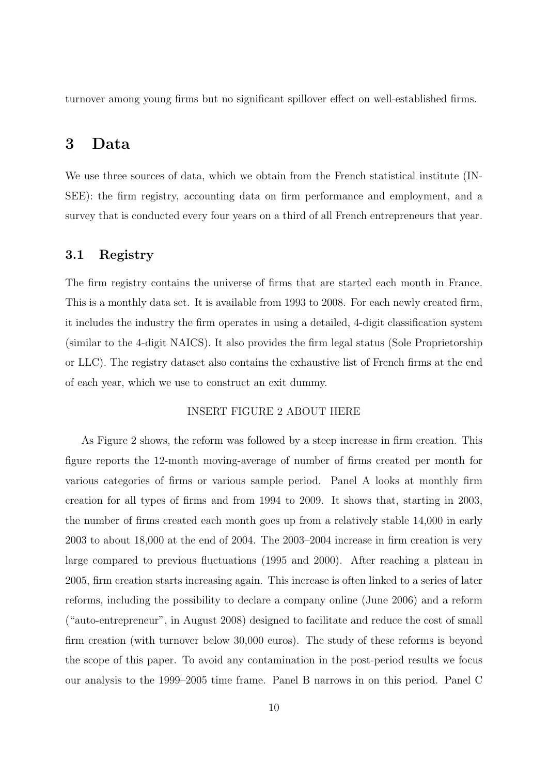turnover among young firms but no significant spillover effect on well-established firms.

# 3 Data

We use three sources of data, which we obtain from the French statistical institute (IN-SEE): the firm registry, accounting data on firm performance and employment, and a survey that is conducted every four years on a third of all French entrepreneurs that year.

### 3.1 Registry

The firm registry contains the universe of firms that are started each month in France. This is a monthly data set. It is available from 1993 to 2008. For each newly created firm, it includes the industry the firm operates in using a detailed, 4-digit classification system (similar to the 4-digit NAICS). It also provides the firm legal status (Sole Proprietorship or LLC). The registry dataset also contains the exhaustive list of French firms at the end of each year, which we use to construct an exit dummy.

### INSERT FIGURE 2 ABOUT HERE

As Figure 2 shows, the reform was followed by a steep increase in firm creation. This figure reports the 12-month moving-average of number of firms created per month for various categories of firms or various sample period. Panel A looks at monthly firm creation for all types of firms and from 1994 to 2009. It shows that, starting in 2003, the number of firms created each month goes up from a relatively stable 14,000 in early 2003 to about 18,000 at the end of 2004. The 2003–2004 increase in firm creation is very large compared to previous fluctuations (1995 and 2000). After reaching a plateau in 2005, firm creation starts increasing again. This increase is often linked to a series of later reforms, including the possibility to declare a company online (June 2006) and a reform ("auto-entrepreneur", in August 2008) designed to facilitate and reduce the cost of small firm creation (with turnover below 30,000 euros). The study of these reforms is beyond the scope of this paper. To avoid any contamination in the post-period results we focus our analysis to the 1999–2005 time frame. Panel B narrows in on this period. Panel C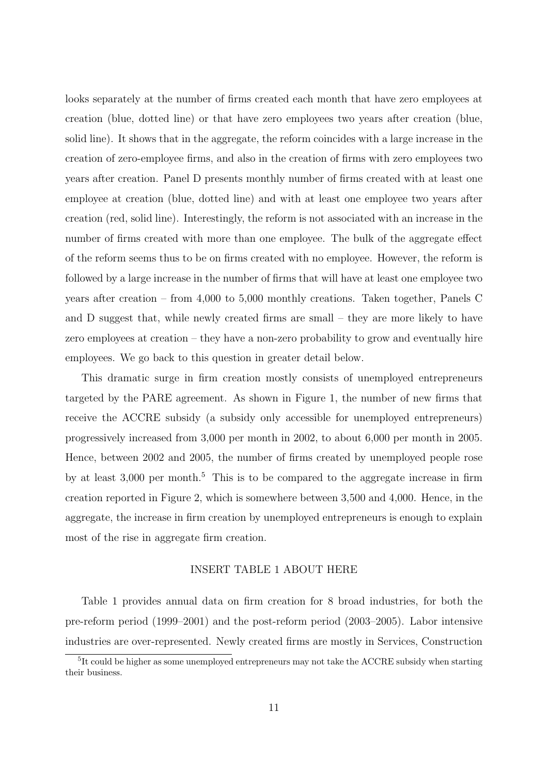looks separately at the number of firms created each month that have zero employees at creation (blue, dotted line) or that have zero employees two years after creation (blue, solid line). It shows that in the aggregate, the reform coincides with a large increase in the creation of zero-employee firms, and also in the creation of firms with zero employees two years after creation. Panel D presents monthly number of firms created with at least one employee at creation (blue, dotted line) and with at least one employee two years after creation (red, solid line). Interestingly, the reform is not associated with an increase in the number of firms created with more than one employee. The bulk of the aggregate effect of the reform seems thus to be on firms created with no employee. However, the reform is followed by a large increase in the number of firms that will have at least one employee two years after creation – from 4,000 to 5,000 monthly creations. Taken together, Panels C and D suggest that, while newly created firms are small – they are more likely to have zero employees at creation – they have a non-zero probability to grow and eventually hire employees. We go back to this question in greater detail below.

This dramatic surge in firm creation mostly consists of unemployed entrepreneurs targeted by the PARE agreement. As shown in Figure 1, the number of new firms that receive the ACCRE subsidy (a subsidy only accessible for unemployed entrepreneurs) progressively increased from 3,000 per month in 2002, to about 6,000 per month in 2005. Hence, between 2002 and 2005, the number of firms created by unemployed people rose by at least  $3,000$  per month.<sup>5</sup> This is to be compared to the aggregate increase in firm creation reported in Figure 2, which is somewhere between 3,500 and 4,000. Hence, in the aggregate, the increase in firm creation by unemployed entrepreneurs is enough to explain most of the rise in aggregate firm creation.

### INSERT TABLE 1 ABOUT HERE

Table 1 provides annual data on firm creation for 8 broad industries, for both the pre-reform period (1999–2001) and the post-reform period (2003–2005). Labor intensive industries are over-represented. Newly created firms are mostly in Services, Construction

<sup>&</sup>lt;sup>5</sup>It could be higher as some unemployed entrepreneurs may not take the ACCRE subsidy when starting their business.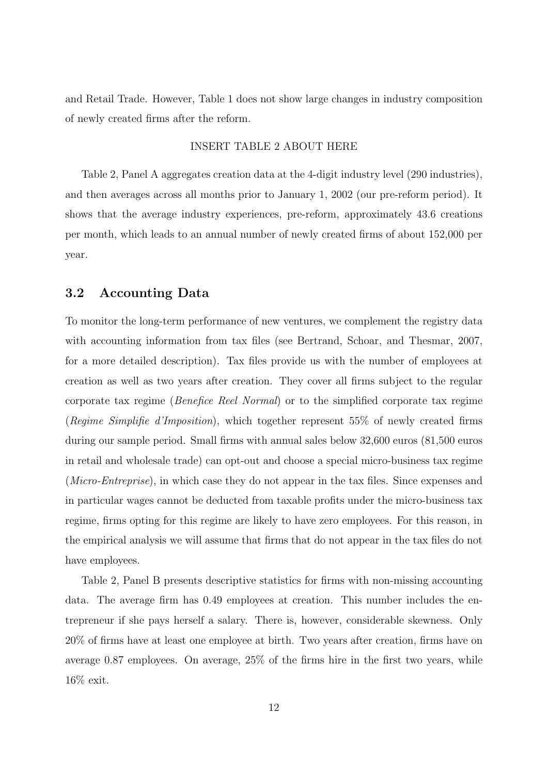and Retail Trade. However, Table 1 does not show large changes in industry composition of newly created firms after the reform.

#### INSERT TABLE 2 ABOUT HERE

Table 2, Panel A aggregates creation data at the 4-digit industry level (290 industries), and then averages across all months prior to January 1, 2002 (our pre-reform period). It shows that the average industry experiences, pre-reform, approximately 43.6 creations per month, which leads to an annual number of newly created firms of about 152,000 per year.

# 3.2 Accounting Data

To monitor the long-term performance of new ventures, we complement the registry data with accounting information from tax files (see Bertrand, Schoar, and Thesmar, 2007, for a more detailed description). Tax files provide us with the number of employees at creation as well as two years after creation. They cover all firms subject to the regular corporate tax regime (Benefice Reel Normal) or to the simplified corporate tax regime (Regime Simplifie d'Imposition), which together represent 55% of newly created firms during our sample period. Small firms with annual sales below 32,600 euros (81,500 euros in retail and wholesale trade) can opt-out and choose a special micro-business tax regime (Micro-Entreprise), in which case they do not appear in the tax files. Since expenses and in particular wages cannot be deducted from taxable profits under the micro-business tax regime, firms opting for this regime are likely to have zero employees. For this reason, in the empirical analysis we will assume that firms that do not appear in the tax files do not have employees.

Table 2, Panel B presents descriptive statistics for firms with non-missing accounting data. The average firm has 0.49 employees at creation. This number includes the entrepreneur if she pays herself a salary. There is, however, considerable skewness. Only 20% of firms have at least one employee at birth. Two years after creation, firms have on average 0.87 employees. On average, 25% of the firms hire in the first two years, while 16% exit.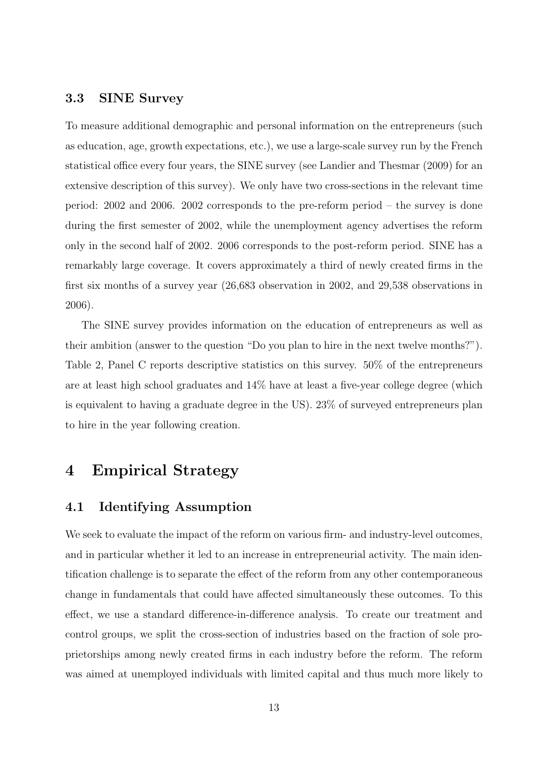### 3.3 SINE Survey

To measure additional demographic and personal information on the entrepreneurs (such as education, age, growth expectations, etc.), we use a large-scale survey run by the French statistical office every four years, the SINE survey (see Landier and Thesmar (2009) for an extensive description of this survey). We only have two cross-sections in the relevant time period: 2002 and 2006. 2002 corresponds to the pre-reform period – the survey is done during the first semester of 2002, while the unemployment agency advertises the reform only in the second half of 2002. 2006 corresponds to the post-reform period. SINE has a remarkably large coverage. It covers approximately a third of newly created firms in the first six months of a survey year (26,683 observation in 2002, and 29,538 observations in 2006).

The SINE survey provides information on the education of entrepreneurs as well as their ambition (answer to the question "Do you plan to hire in the next twelve months?"). Table 2, Panel C reports descriptive statistics on this survey. 50% of the entrepreneurs are at least high school graduates and 14% have at least a five-year college degree (which is equivalent to having a graduate degree in the US). 23% of surveyed entrepreneurs plan to hire in the year following creation.

# 4 Empirical Strategy

# 4.1 Identifying Assumption

We seek to evaluate the impact of the reform on various firm- and industry-level outcomes, and in particular whether it led to an increase in entrepreneurial activity. The main identification challenge is to separate the effect of the reform from any other contemporaneous change in fundamentals that could have affected simultaneously these outcomes. To this effect, we use a standard difference-in-difference analysis. To create our treatment and control groups, we split the cross-section of industries based on the fraction of sole proprietorships among newly created firms in each industry before the reform. The reform was aimed at unemployed individuals with limited capital and thus much more likely to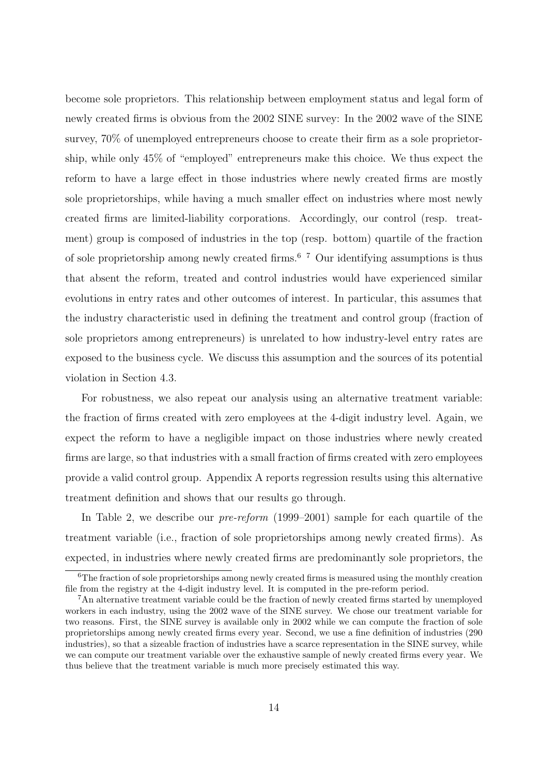become sole proprietors. This relationship between employment status and legal form of newly created firms is obvious from the 2002 SINE survey: In the 2002 wave of the SINE survey, 70% of unemployed entrepreneurs choose to create their firm as a sole proprietorship, while only 45% of "employed" entrepreneurs make this choice. We thus expect the reform to have a large effect in those industries where newly created firms are mostly sole proprietorships, while having a much smaller effect on industries where most newly created firms are limited-liability corporations. Accordingly, our control (resp. treatment) group is composed of industries in the top (resp. bottom) quartile of the fraction of sole proprietorship among newly created firms.6 7 Our identifying assumptions is thus that absent the reform, treated and control industries would have experienced similar evolutions in entry rates and other outcomes of interest. In particular, this assumes that the industry characteristic used in defining the treatment and control group (fraction of sole proprietors among entrepreneurs) is unrelated to how industry-level entry rates are exposed to the business cycle. We discuss this assumption and the sources of its potential violation in Section 4.3.

For robustness, we also repeat our analysis using an alternative treatment variable: the fraction of firms created with zero employees at the 4-digit industry level. Again, we expect the reform to have a negligible impact on those industries where newly created firms are large, so that industries with a small fraction of firms created with zero employees provide a valid control group. Appendix A reports regression results using this alternative treatment definition and shows that our results go through.

In Table 2, we describe our *pre-reform* (1999–2001) sample for each quartile of the treatment variable (i.e., fraction of sole proprietorships among newly created firms). As expected, in industries where newly created firms are predominantly sole proprietors, the

<sup>&</sup>lt;sup>6</sup>The fraction of sole proprietorships among newly created firms is measured using the monthly creation file from the registry at the 4-digit industry level. It is computed in the pre-reform period.

<sup>7</sup>An alternative treatment variable could be the fraction of newly created firms started by unemployed workers in each industry, using the 2002 wave of the SINE survey. We chose our treatment variable for two reasons. First, the SINE survey is available only in 2002 while we can compute the fraction of sole proprietorships among newly created firms every year. Second, we use a fine definition of industries (290 industries), so that a sizeable fraction of industries have a scarce representation in the SINE survey, while we can compute our treatment variable over the exhaustive sample of newly created firms every year. We thus believe that the treatment variable is much more precisely estimated this way.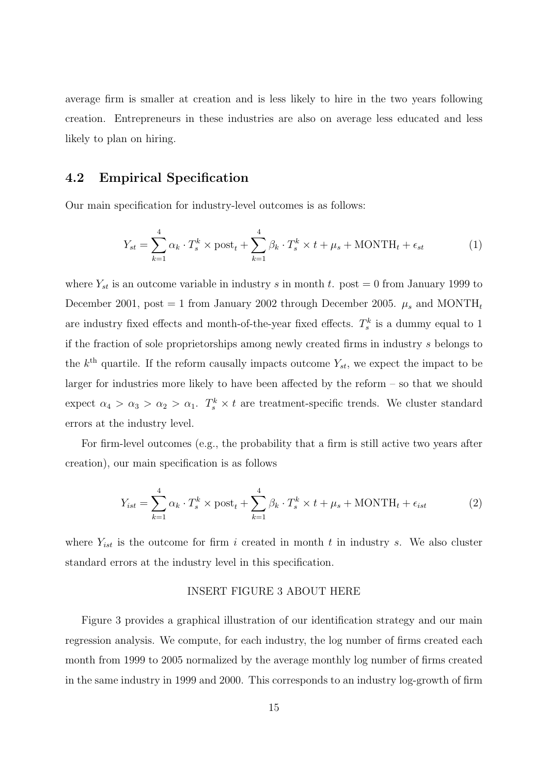average firm is smaller at creation and is less likely to hire in the two years following creation. Entrepreneurs in these industries are also on average less educated and less likely to plan on hiring.

# 4.2 Empirical Specification

Our main specification for industry-level outcomes is as follows:

$$
Y_{st} = \sum_{k=1}^{4} \alpha_k \cdot T_s^k \times \text{post}_t + \sum_{k=1}^{4} \beta_k \cdot T_s^k \times t + \mu_s + \text{MONTH}_t + \epsilon_{st}
$$
 (1)

where  $Y_{st}$  is an outcome variable in industry s in month t. post = 0 from January 1999 to December 2001, post = 1 from January 2002 through December 2005.  $\mu_s$  and MONTH<sub>t</sub> are industry fixed effects and month-of-the-year fixed effects.  $T_s^k$  is a dummy equal to 1 if the fraction of sole proprietorships among newly created firms in industry s belongs to the  $k<sup>th</sup>$  quartile. If the reform causally impacts outcome  $Y_{st}$ , we expect the impact to be larger for industries more likely to have been affected by the reform – so that we should expect  $\alpha_4 > \alpha_3 > \alpha_2 > \alpha_1$ .  $T_s^k \times t$  are treatment-specific trends. We cluster standard errors at the industry level.

For firm-level outcomes (e.g., the probability that a firm is still active two years after creation), our main specification is as follows

$$
Y_{ist} = \sum_{k=1}^{4} \alpha_k \cdot T_s^k \times \text{post}_t + \sum_{k=1}^{4} \beta_k \cdot T_s^k \times t + \mu_s + \text{MONTH}_t + \epsilon_{ist}
$$
 (2)

where  $Y_{ist}$  is the outcome for firm i created in month t in industry s. We also cluster standard errors at the industry level in this specification.

#### INSERT FIGURE 3 ABOUT HERE

Figure 3 provides a graphical illustration of our identification strategy and our main regression analysis. We compute, for each industry, the log number of firms created each month from 1999 to 2005 normalized by the average monthly log number of firms created in the same industry in 1999 and 2000. This corresponds to an industry log-growth of firm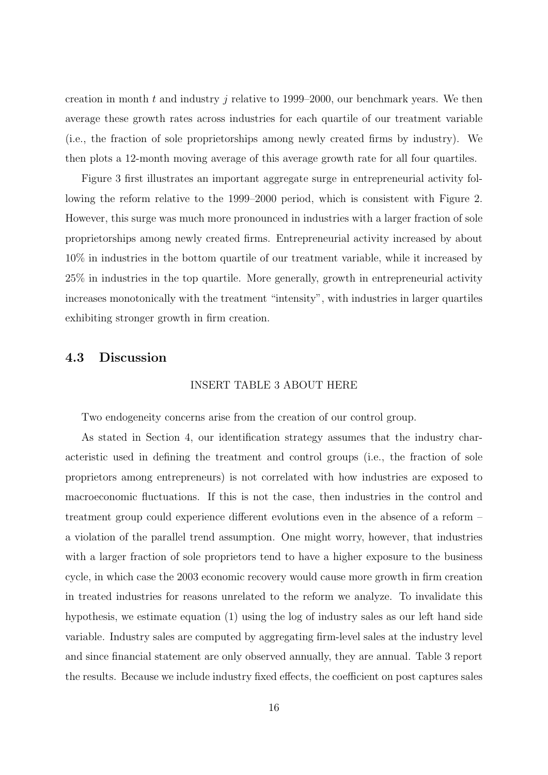creation in month t and industry j relative to 1999–2000, our benchmark years. We then average these growth rates across industries for each quartile of our treatment variable (i.e., the fraction of sole proprietorships among newly created firms by industry). We then plots a 12-month moving average of this average growth rate for all four quartiles.

Figure 3 first illustrates an important aggregate surge in entrepreneurial activity following the reform relative to the 1999–2000 period, which is consistent with Figure 2. However, this surge was much more pronounced in industries with a larger fraction of sole proprietorships among newly created firms. Entrepreneurial activity increased by about 10% in industries in the bottom quartile of our treatment variable, while it increased by 25% in industries in the top quartile. More generally, growth in entrepreneurial activity increases monotonically with the treatment "intensity", with industries in larger quartiles exhibiting stronger growth in firm creation.

# 4.3 Discussion

#### INSERT TABLE 3 ABOUT HERE

Two endogeneity concerns arise from the creation of our control group.

As stated in Section 4, our identification strategy assumes that the industry characteristic used in defining the treatment and control groups (i.e., the fraction of sole proprietors among entrepreneurs) is not correlated with how industries are exposed to macroeconomic fluctuations. If this is not the case, then industries in the control and treatment group could experience different evolutions even in the absence of a reform – a violation of the parallel trend assumption. One might worry, however, that industries with a larger fraction of sole proprietors tend to have a higher exposure to the business cycle, in which case the 2003 economic recovery would cause more growth in firm creation in treated industries for reasons unrelated to the reform we analyze. To invalidate this hypothesis, we estimate equation (1) using the log of industry sales as our left hand side variable. Industry sales are computed by aggregating firm-level sales at the industry level and since financial statement are only observed annually, they are annual. Table 3 report the results. Because we include industry fixed effects, the coefficient on post captures sales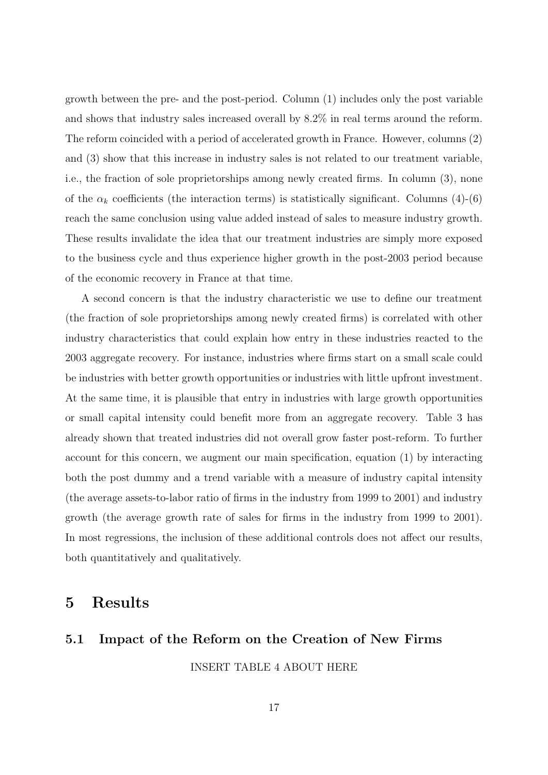growth between the pre- and the post-period. Column (1) includes only the post variable and shows that industry sales increased overall by 8.2% in real terms around the reform. The reform coincided with a period of accelerated growth in France. However, columns (2) and (3) show that this increase in industry sales is not related to our treatment variable, i.e., the fraction of sole proprietorships among newly created firms. In column (3), none of the  $\alpha_k$  coefficients (the interaction terms) is statistically significant. Columns (4)-(6) reach the same conclusion using value added instead of sales to measure industry growth. These results invalidate the idea that our treatment industries are simply more exposed to the business cycle and thus experience higher growth in the post-2003 period because of the economic recovery in France at that time.

A second concern is that the industry characteristic we use to define our treatment (the fraction of sole proprietorships among newly created firms) is correlated with other industry characteristics that could explain how entry in these industries reacted to the 2003 aggregate recovery. For instance, industries where firms start on a small scale could be industries with better growth opportunities or industries with little upfront investment. At the same time, it is plausible that entry in industries with large growth opportunities or small capital intensity could benefit more from an aggregate recovery. Table 3 has already shown that treated industries did not overall grow faster post-reform. To further account for this concern, we augment our main specification, equation (1) by interacting both the post dummy and a trend variable with a measure of industry capital intensity (the average assets-to-labor ratio of firms in the industry from 1999 to 2001) and industry growth (the average growth rate of sales for firms in the industry from 1999 to 2001). In most regressions, the inclusion of these additional controls does not affect our results, both quantitatively and qualitatively.

# 5 Results

# 5.1 Impact of the Reform on the Creation of New Firms INSERT TABLE 4 ABOUT HERE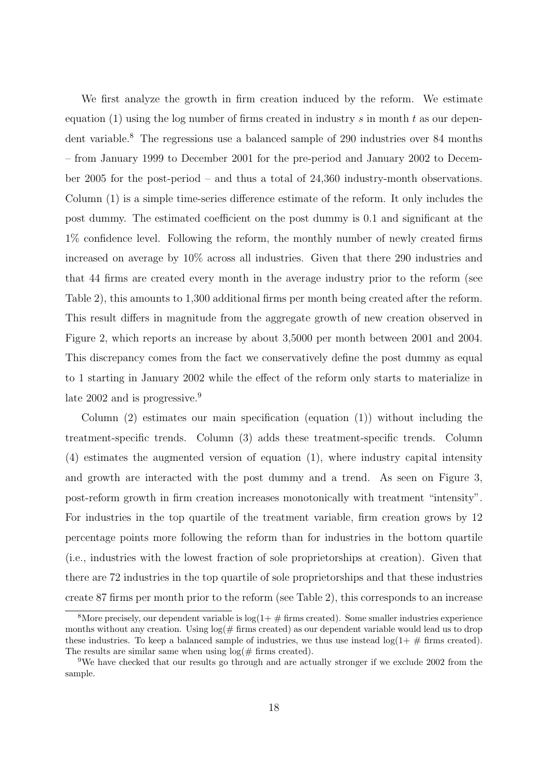We first analyze the growth in firm creation induced by the reform. We estimate equation (1) using the log number of firms created in industry s in month t as our dependent variable.<sup>8</sup> The regressions use a balanced sample of 290 industries over 84 months – from January 1999 to December 2001 for the pre-period and January 2002 to December 2005 for the post-period – and thus a total of 24,360 industry-month observations. Column (1) is a simple time-series difference estimate of the reform. It only includes the post dummy. The estimated coefficient on the post dummy is 0.1 and significant at the 1% confidence level. Following the reform, the monthly number of newly created firms increased on average by 10% across all industries. Given that there 290 industries and that 44 firms are created every month in the average industry prior to the reform (see Table 2), this amounts to 1,300 additional firms per month being created after the reform. This result differs in magnitude from the aggregate growth of new creation observed in Figure 2, which reports an increase by about 3,5000 per month between 2001 and 2004. This discrepancy comes from the fact we conservatively define the post dummy as equal to 1 starting in January 2002 while the effect of the reform only starts to materialize in late 2002 and is progressive.<sup>9</sup>

Column  $(2)$  estimates our main specification (equation  $(1)$ ) without including the treatment-specific trends. Column (3) adds these treatment-specific trends. Column (4) estimates the augmented version of equation (1), where industry capital intensity and growth are interacted with the post dummy and a trend. As seen on Figure 3, post-reform growth in firm creation increases monotonically with treatment "intensity". For industries in the top quartile of the treatment variable, firm creation grows by 12 percentage points more following the reform than for industries in the bottom quartile (i.e., industries with the lowest fraction of sole proprietorships at creation). Given that there are 72 industries in the top quartile of sole proprietorships and that these industries create 87 firms per month prior to the reform (see Table 2), this corresponds to an increase

<sup>&</sup>lt;sup>8</sup>More precisely, our dependent variable is  $log(1+\# \text{ firms created})$ . Some smaller industries experience months without any creation. Using  $log(\text{\# firms created})$  as our dependent variable would lead us to drop these industries. To keep a balanced sample of industries, we thus use instead  $\log(1+\# \text{ firms created})$ . The results are similar same when using  $log(\text{\# firms created}).$ 

<sup>9</sup>We have checked that our results go through and are actually stronger if we exclude 2002 from the sample.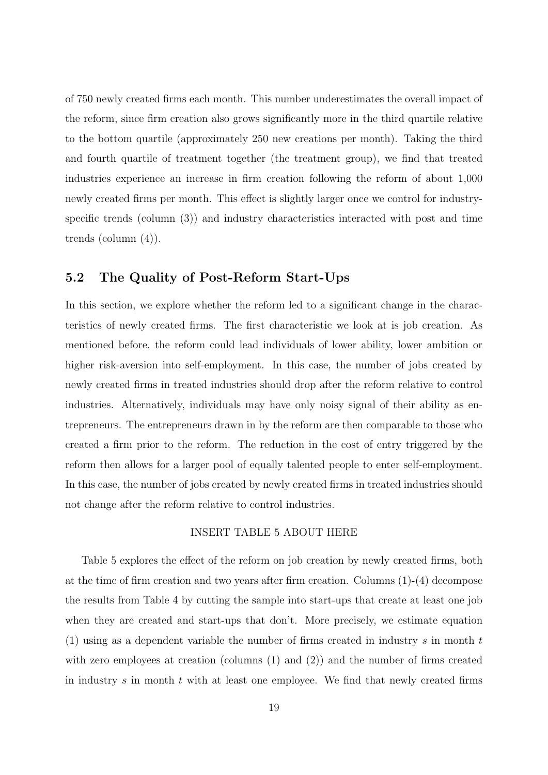of 750 newly created firms each month. This number underestimates the overall impact of the reform, since firm creation also grows significantly more in the third quartile relative to the bottom quartile (approximately 250 new creations per month). Taking the third and fourth quartile of treatment together (the treatment group), we find that treated industries experience an increase in firm creation following the reform of about 1,000 newly created firms per month. This effect is slightly larger once we control for industryspecific trends (column (3)) and industry characteristics interacted with post and time trends (column (4)).

# 5.2 The Quality of Post-Reform Start-Ups

In this section, we explore whether the reform led to a significant change in the characteristics of newly created firms. The first characteristic we look at is job creation. As mentioned before, the reform could lead individuals of lower ability, lower ambition or higher risk-aversion into self-employment. In this case, the number of jobs created by newly created firms in treated industries should drop after the reform relative to control industries. Alternatively, individuals may have only noisy signal of their ability as entrepreneurs. The entrepreneurs drawn in by the reform are then comparable to those who created a firm prior to the reform. The reduction in the cost of entry triggered by the reform then allows for a larger pool of equally talented people to enter self-employment. In this case, the number of jobs created by newly created firms in treated industries should not change after the reform relative to control industries.

#### INSERT TABLE 5 ABOUT HERE

Table 5 explores the effect of the reform on job creation by newly created firms, both at the time of firm creation and two years after firm creation. Columns (1)-(4) decompose the results from Table 4 by cutting the sample into start-ups that create at least one job when they are created and start-ups that don't. More precisely, we estimate equation (1) using as a dependent variable the number of firms created in industry s in month  $t$ with zero employees at creation (columns  $(1)$  and  $(2)$ ) and the number of firms created in industry  $s$  in month  $t$  with at least one employee. We find that newly created firms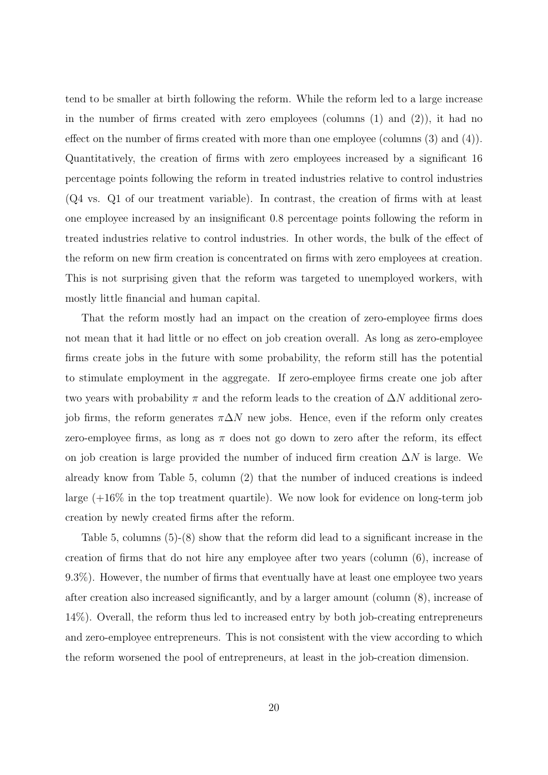tend to be smaller at birth following the reform. While the reform led to a large increase in the number of firms created with zero employees (columns  $(1)$  and  $(2)$ ), it had no effect on the number of firms created with more than one employee (columns (3) and (4)). Quantitatively, the creation of firms with zero employees increased by a significant 16 percentage points following the reform in treated industries relative to control industries (Q4 vs. Q1 of our treatment variable). In contrast, the creation of firms with at least one employee increased by an insignificant 0.8 percentage points following the reform in treated industries relative to control industries. In other words, the bulk of the effect of the reform on new firm creation is concentrated on firms with zero employees at creation. This is not surprising given that the reform was targeted to unemployed workers, with mostly little financial and human capital.

That the reform mostly had an impact on the creation of zero-employee firms does not mean that it had little or no effect on job creation overall. As long as zero-employee firms create jobs in the future with some probability, the reform still has the potential to stimulate employment in the aggregate. If zero-employee firms create one job after two years with probability  $\pi$  and the reform leads to the creation of  $\Delta N$  additional zerojob firms, the reform generates  $\pi \Delta N$  new jobs. Hence, even if the reform only creates zero-employee firms, as long as  $\pi$  does not go down to zero after the reform, its effect on job creation is large provided the number of induced firm creation  $\Delta N$  is large. We already know from Table 5, column (2) that the number of induced creations is indeed large  $(+16\%$  in the top treatment quartile). We now look for evidence on long-term job creation by newly created firms after the reform.

Table 5, columns (5)-(8) show that the reform did lead to a significant increase in the creation of firms that do not hire any employee after two years (column (6), increase of 9.3%). However, the number of firms that eventually have at least one employee two years after creation also increased significantly, and by a larger amount (column (8), increase of 14%). Overall, the reform thus led to increased entry by both job-creating entrepreneurs and zero-employee entrepreneurs. This is not consistent with the view according to which the reform worsened the pool of entrepreneurs, at least in the job-creation dimension.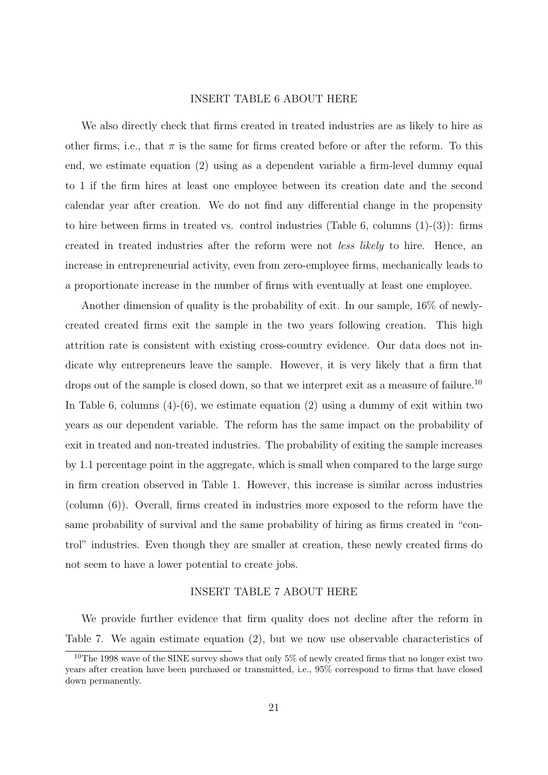#### INSERT TABLE 6 ABOUT HERE

We also directly check that firms created in treated industries are as likely to hire as other firms, i.e., that  $\pi$  is the same for firms created before or after the reform. To this end, we estimate equation (2) using as a dependent variable a firm-level dummy equal to 1 if the firm hires at least one employee between its creation date and the second calendar year after creation. We do not find any differential change in the propensity to hire between firms in treated vs. control industries (Table 6, columns (1)-(3)): firms created in treated industries after the reform were not less likely to hire. Hence, an increase in entrepreneurial activity, even from zero-employee firms, mechanically leads to a proportionate increase in the number of firms with eventually at least one employee.

Another dimension of quality is the probability of exit. In our sample, 16% of newlycreated created firms exit the sample in the two years following creation. This high attrition rate is consistent with existing cross-country evidence. Our data does not indicate why entrepreneurs leave the sample. However, it is very likely that a firm that drops out of the sample is closed down, so that we interpret exit as a measure of failure.<sup>10</sup> In Table 6, columns  $(4)-(6)$ , we estimate equation  $(2)$  using a dummy of exit within two years as our dependent variable. The reform has the same impact on the probability of exit in treated and non-treated industries. The probability of exiting the sample increases by 1.1 percentage point in the aggregate, which is small when compared to the large surge in firm creation observed in Table 1. However, this increase is similar across industries (column (6)). Overall, firms created in industries more exposed to the reform have the same probability of survival and the same probability of hiring as firms created in "control" industries. Even though they are smaller at creation, these newly created firms do not seem to have a lower potential to create jobs.

#### INSERT TABLE 7 ABOUT HERE

We provide further evidence that firm quality does not decline after the reform in Table 7. We again estimate equation (2), but we now use observable characteristics of

<sup>&</sup>lt;sup>10</sup>The 1998 wave of the SINE survey shows that only 5% of newly created firms that no longer exist two years after creation have been purchased or transmitted, i.e., 95% correspond to firms that have closed down permanently.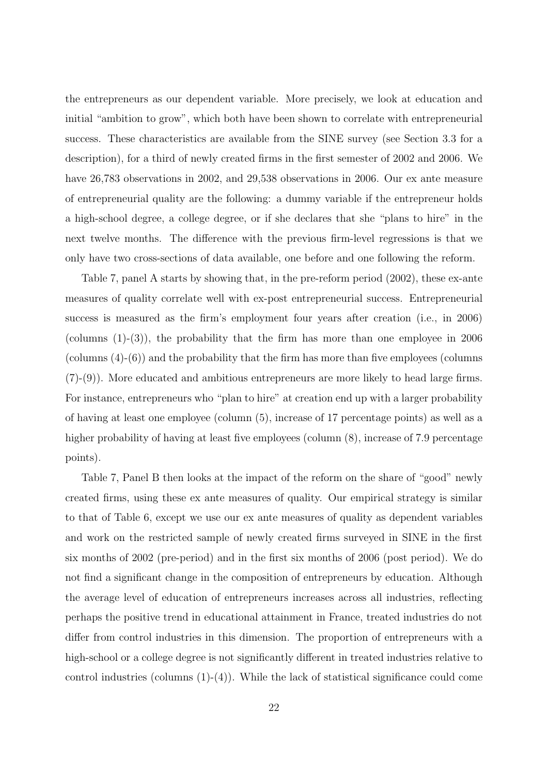the entrepreneurs as our dependent variable. More precisely, we look at education and initial "ambition to grow", which both have been shown to correlate with entrepreneurial success. These characteristics are available from the SINE survey (see Section 3.3 for a description), for a third of newly created firms in the first semester of 2002 and 2006. We have 26,783 observations in 2002, and 29,538 observations in 2006. Our ex ante measure of entrepreneurial quality are the following: a dummy variable if the entrepreneur holds a high-school degree, a college degree, or if she declares that she "plans to hire" in the next twelve months. The difference with the previous firm-level regressions is that we only have two cross-sections of data available, one before and one following the reform.

Table 7, panel A starts by showing that, in the pre-reform period (2002), these ex-ante measures of quality correlate well with ex-post entrepreneurial success. Entrepreneurial success is measured as the firm's employment four years after creation (i.e., in 2006) (columns  $(1)-(3)$ ), the probability that the firm has more than one employee in 2006 (columns (4)-(6)) and the probability that the firm has more than five employees (columns (7)-(9)). More educated and ambitious entrepreneurs are more likely to head large firms. For instance, entrepreneurs who "plan to hire" at creation end up with a larger probability of having at least one employee (column (5), increase of 17 percentage points) as well as a higher probability of having at least five employees (column  $(8)$ , increase of 7.9 percentage points).

Table 7, Panel B then looks at the impact of the reform on the share of "good" newly created firms, using these ex ante measures of quality. Our empirical strategy is similar to that of Table 6, except we use our ex ante measures of quality as dependent variables and work on the restricted sample of newly created firms surveyed in SINE in the first six months of 2002 (pre-period) and in the first six months of 2006 (post period). We do not find a significant change in the composition of entrepreneurs by education. Although the average level of education of entrepreneurs increases across all industries, reflecting perhaps the positive trend in educational attainment in France, treated industries do not differ from control industries in this dimension. The proportion of entrepreneurs with a high-school or a college degree is not significantly different in treated industries relative to control industries (columns  $(1)-(4)$ ). While the lack of statistical significance could come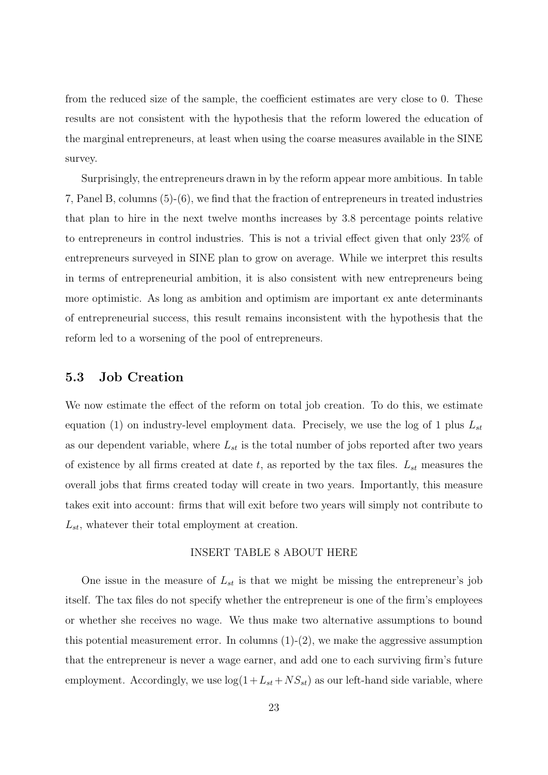from the reduced size of the sample, the coefficient estimates are very close to 0. These results are not consistent with the hypothesis that the reform lowered the education of the marginal entrepreneurs, at least when using the coarse measures available in the SINE survey.

Surprisingly, the entrepreneurs drawn in by the reform appear more ambitious. In table 7, Panel B, columns (5)-(6), we find that the fraction of entrepreneurs in treated industries that plan to hire in the next twelve months increases by 3.8 percentage points relative to entrepreneurs in control industries. This is not a trivial effect given that only 23% of entrepreneurs surveyed in SINE plan to grow on average. While we interpret this results in terms of entrepreneurial ambition, it is also consistent with new entrepreneurs being more optimistic. As long as ambition and optimism are important ex ante determinants of entrepreneurial success, this result remains inconsistent with the hypothesis that the reform led to a worsening of the pool of entrepreneurs.

# 5.3 Job Creation

We now estimate the effect of the reform on total job creation. To do this, we estimate equation (1) on industry-level employment data. Precisely, we use the log of 1 plus  $L_{st}$ as our dependent variable, where  $L_{st}$  is the total number of jobs reported after two years of existence by all firms created at date t, as reported by the tax files.  $L_{st}$  measures the overall jobs that firms created today will create in two years. Importantly, this measure takes exit into account: firms that will exit before two years will simply not contribute to  $L_{st}$ , whatever their total employment at creation.

#### INSERT TABLE 8 ABOUT HERE

One issue in the measure of  $L_{st}$  is that we might be missing the entrepreneur's job itself. The tax files do not specify whether the entrepreneur is one of the firm's employees or whether she receives no wage. We thus make two alternative assumptions to bound this potential measurement error. In columns  $(1)-(2)$ , we make the aggressive assumption that the entrepreneur is never a wage earner, and add one to each surviving firm's future employment. Accordingly, we use  $log(1+L_{st} + NS_{st})$  as our left-hand side variable, where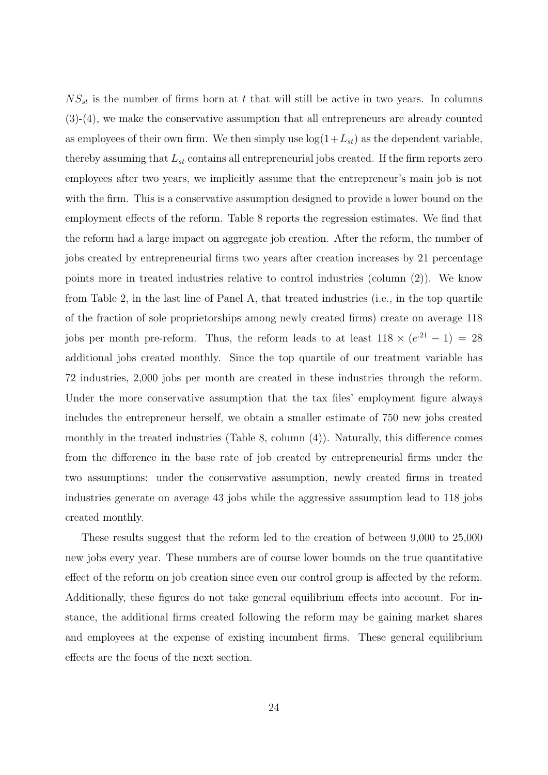$NS_{st}$  is the number of firms born at t that will still be active in two years. In columns (3)-(4), we make the conservative assumption that all entrepreneurs are already counted as employees of their own firm. We then simply use  $log(1+L_{st})$  as the dependent variable, thereby assuming that  $L_{st}$  contains all entrepreneurial jobs created. If the firm reports zero employees after two years, we implicitly assume that the entrepreneur's main job is not with the firm. This is a conservative assumption designed to provide a lower bound on the employment effects of the reform. Table 8 reports the regression estimates. We find that the reform had a large impact on aggregate job creation. After the reform, the number of jobs created by entrepreneurial firms two years after creation increases by 21 percentage points more in treated industries relative to control industries (column (2)). We know from Table 2, in the last line of Panel A, that treated industries (i.e., in the top quartile of the fraction of sole proprietorships among newly created firms) create on average 118 jobs per month pre-reform. Thus, the reform leads to at least  $118 \times (e^{.21} - 1) = 28$ additional jobs created monthly. Since the top quartile of our treatment variable has 72 industries, 2,000 jobs per month are created in these industries through the reform. Under the more conservative assumption that the tax files' employment figure always includes the entrepreneur herself, we obtain a smaller estimate of 750 new jobs created monthly in the treated industries (Table 8, column (4)). Naturally, this difference comes from the difference in the base rate of job created by entrepreneurial firms under the two assumptions: under the conservative assumption, newly created firms in treated industries generate on average 43 jobs while the aggressive assumption lead to 118 jobs created monthly.

These results suggest that the reform led to the creation of between 9,000 to 25,000 new jobs every year. These numbers are of course lower bounds on the true quantitative effect of the reform on job creation since even our control group is affected by the reform. Additionally, these figures do not take general equilibrium effects into account. For instance, the additional firms created following the reform may be gaining market shares and employees at the expense of existing incumbent firms. These general equilibrium effects are the focus of the next section.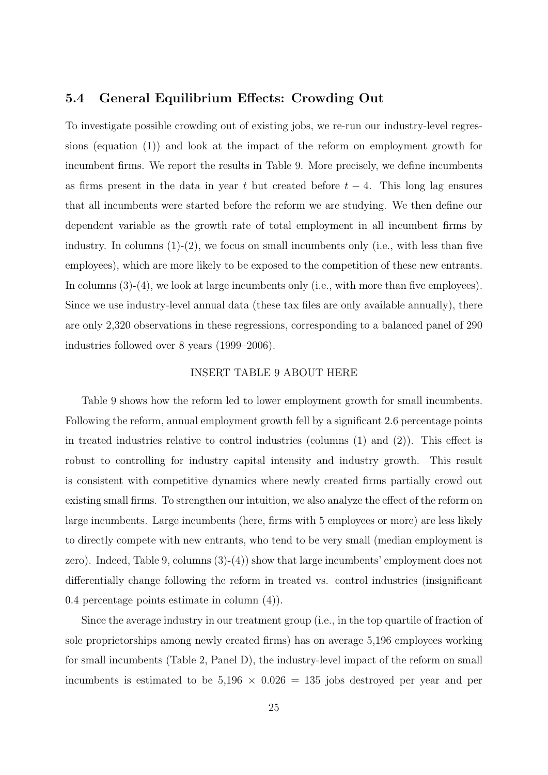### 5.4 General Equilibrium Effects: Crowding Out

To investigate possible crowding out of existing jobs, we re-run our industry-level regressions (equation (1)) and look at the impact of the reform on employment growth for incumbent firms. We report the results in Table 9. More precisely, we define incumbents as firms present in the data in year t but created before  $t - 4$ . This long lag ensures that all incumbents were started before the reform we are studying. We then define our dependent variable as the growth rate of total employment in all incumbent firms by industry. In columns  $(1)-(2)$ , we focus on small incumbents only (i.e., with less than five employees), which are more likely to be exposed to the competition of these new entrants. In columns  $(3)-(4)$ , we look at large incumbents only (i.e., with more than five employees). Since we use industry-level annual data (these tax files are only available annually), there are only 2,320 observations in these regressions, corresponding to a balanced panel of 290 industries followed over 8 years (1999–2006).

#### INSERT TABLE 9 ABOUT HERE

Table 9 shows how the reform led to lower employment growth for small incumbents. Following the reform, annual employment growth fell by a significant 2.6 percentage points in treated industries relative to control industries (columns  $(1)$  and  $(2)$ ). This effect is robust to controlling for industry capital intensity and industry growth. This result is consistent with competitive dynamics where newly created firms partially crowd out existing small firms. To strengthen our intuition, we also analyze the effect of the reform on large incumbents. Large incumbents (here, firms with 5 employees or more) are less likely to directly compete with new entrants, who tend to be very small (median employment is zero). Indeed, Table 9, columns (3)-(4)) show that large incumbents' employment does not differentially change following the reform in treated vs. control industries (insignificant 0.4 percentage points estimate in column (4)).

Since the average industry in our treatment group (i.e., in the top quartile of fraction of sole proprietorships among newly created firms) has on average 5,196 employees working for small incumbents (Table 2, Panel D), the industry-level impact of the reform on small incumbents is estimated to be  $5,196 \times 0.026 = 135$  jobs destroyed per year and per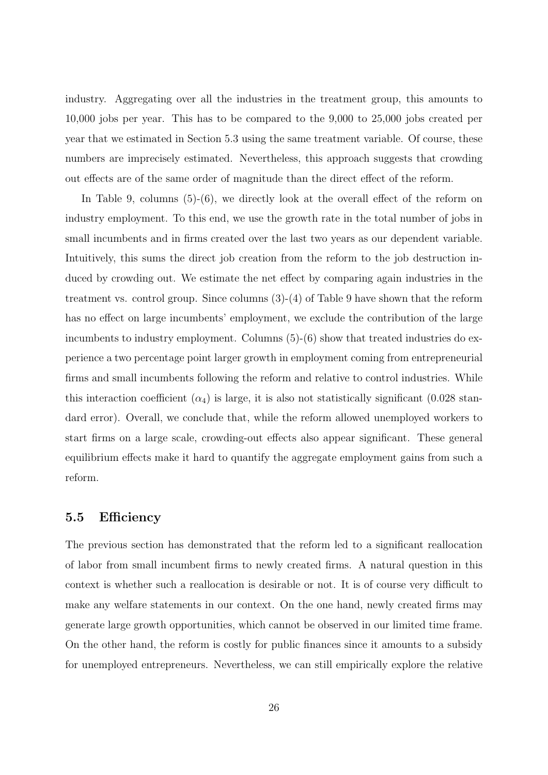industry. Aggregating over all the industries in the treatment group, this amounts to 10,000 jobs per year. This has to be compared to the 9,000 to 25,000 jobs created per year that we estimated in Section 5.3 using the same treatment variable. Of course, these numbers are imprecisely estimated. Nevertheless, this approach suggests that crowding out effects are of the same order of magnitude than the direct effect of the reform.

In Table 9, columns (5)-(6), we directly look at the overall effect of the reform on industry employment. To this end, we use the growth rate in the total number of jobs in small incumbents and in firms created over the last two years as our dependent variable. Intuitively, this sums the direct job creation from the reform to the job destruction induced by crowding out. We estimate the net effect by comparing again industries in the treatment vs. control group. Since columns (3)-(4) of Table 9 have shown that the reform has no effect on large incumbents' employment, we exclude the contribution of the large incumbents to industry employment. Columns  $(5)-(6)$  show that treated industries do experience a two percentage point larger growth in employment coming from entrepreneurial firms and small incumbents following the reform and relative to control industries. While this interaction coefficient  $(\alpha_4)$  is large, it is also not statistically significant  $(0.028 \text{ stan}$ dard error). Overall, we conclude that, while the reform allowed unemployed workers to start firms on a large scale, crowding-out effects also appear significant. These general equilibrium effects make it hard to quantify the aggregate employment gains from such a reform.

# 5.5 Efficiency

The previous section has demonstrated that the reform led to a significant reallocation of labor from small incumbent firms to newly created firms. A natural question in this context is whether such a reallocation is desirable or not. It is of course very difficult to make any welfare statements in our context. On the one hand, newly created firms may generate large growth opportunities, which cannot be observed in our limited time frame. On the other hand, the reform is costly for public finances since it amounts to a subsidy for unemployed entrepreneurs. Nevertheless, we can still empirically explore the relative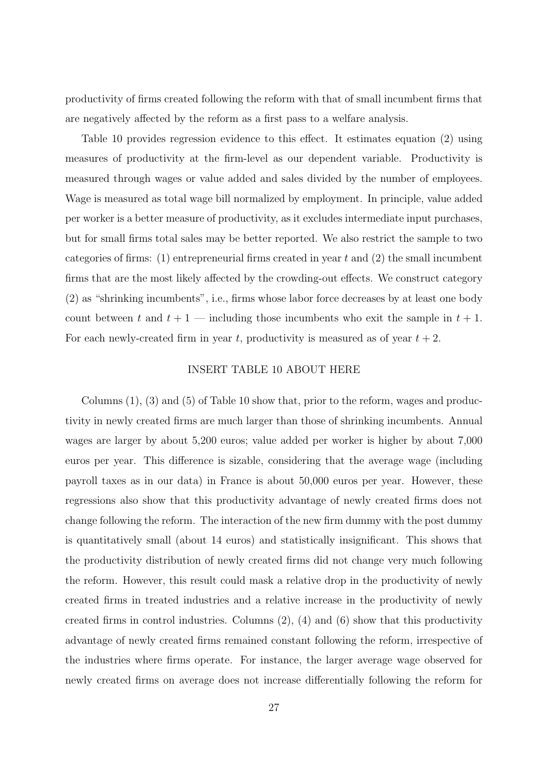productivity of firms created following the reform with that of small incumbent firms that are negatively affected by the reform as a first pass to a welfare analysis.

Table 10 provides regression evidence to this effect. It estimates equation (2) using measures of productivity at the firm-level as our dependent variable. Productivity is measured through wages or value added and sales divided by the number of employees. Wage is measured as total wage bill normalized by employment. In principle, value added per worker is a better measure of productivity, as it excludes intermediate input purchases, but for small firms total sales may be better reported. We also restrict the sample to two categories of firms: (1) entrepreneurial firms created in year  $t$  and (2) the small incumbent firms that are the most likely affected by the crowding-out effects. We construct category (2) as "shrinking incumbents", i.e., firms whose labor force decreases by at least one body count between t and  $t + 1$  — including those incumbents who exit the sample in  $t + 1$ . For each newly-created firm in year t, productivity is measured as of year  $t + 2$ .

#### INSERT TABLE 10 ABOUT HERE

Columns  $(1)$ ,  $(3)$  and  $(5)$  of Table 10 show that, prior to the reform, wages and productivity in newly created firms are much larger than those of shrinking incumbents. Annual wages are larger by about 5,200 euros; value added per worker is higher by about 7,000 euros per year. This difference is sizable, considering that the average wage (including payroll taxes as in our data) in France is about 50,000 euros per year. However, these regressions also show that this productivity advantage of newly created firms does not change following the reform. The interaction of the new firm dummy with the post dummy is quantitatively small (about 14 euros) and statistically insignificant. This shows that the productivity distribution of newly created firms did not change very much following the reform. However, this result could mask a relative drop in the productivity of newly created firms in treated industries and a relative increase in the productivity of newly created firms in control industries. Columns  $(2)$ ,  $(4)$  and  $(6)$  show that this productivity advantage of newly created firms remained constant following the reform, irrespective of the industries where firms operate. For instance, the larger average wage observed for newly created firms on average does not increase differentially following the reform for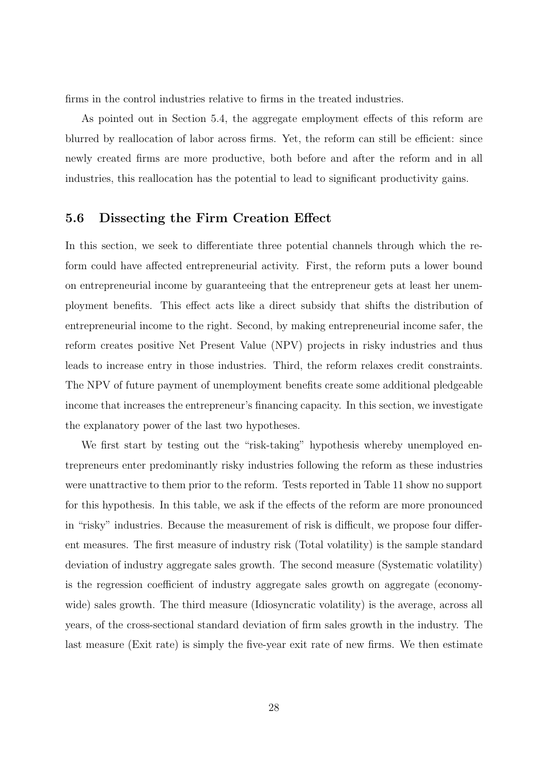firms in the control industries relative to firms in the treated industries.

As pointed out in Section 5.4, the aggregate employment effects of this reform are blurred by reallocation of labor across firms. Yet, the reform can still be efficient: since newly created firms are more productive, both before and after the reform and in all industries, this reallocation has the potential to lead to significant productivity gains.

### 5.6 Dissecting the Firm Creation Effect

In this section, we seek to differentiate three potential channels through which the reform could have affected entrepreneurial activity. First, the reform puts a lower bound on entrepreneurial income by guaranteeing that the entrepreneur gets at least her unemployment benefits. This effect acts like a direct subsidy that shifts the distribution of entrepreneurial income to the right. Second, by making entrepreneurial income safer, the reform creates positive Net Present Value (NPV) projects in risky industries and thus leads to increase entry in those industries. Third, the reform relaxes credit constraints. The NPV of future payment of unemployment benefits create some additional pledgeable income that increases the entrepreneur's financing capacity. In this section, we investigate the explanatory power of the last two hypotheses.

We first start by testing out the "risk-taking" hypothesis whereby unemployed entrepreneurs enter predominantly risky industries following the reform as these industries were unattractive to them prior to the reform. Tests reported in Table 11 show no support for this hypothesis. In this table, we ask if the effects of the reform are more pronounced in "risky" industries. Because the measurement of risk is difficult, we propose four different measures. The first measure of industry risk (Total volatility) is the sample standard deviation of industry aggregate sales growth. The second measure (Systematic volatility) is the regression coefficient of industry aggregate sales growth on aggregate (economywide) sales growth. The third measure (Idiosyncratic volatility) is the average, across all years, of the cross-sectional standard deviation of firm sales growth in the industry. The last measure (Exit rate) is simply the five-year exit rate of new firms. We then estimate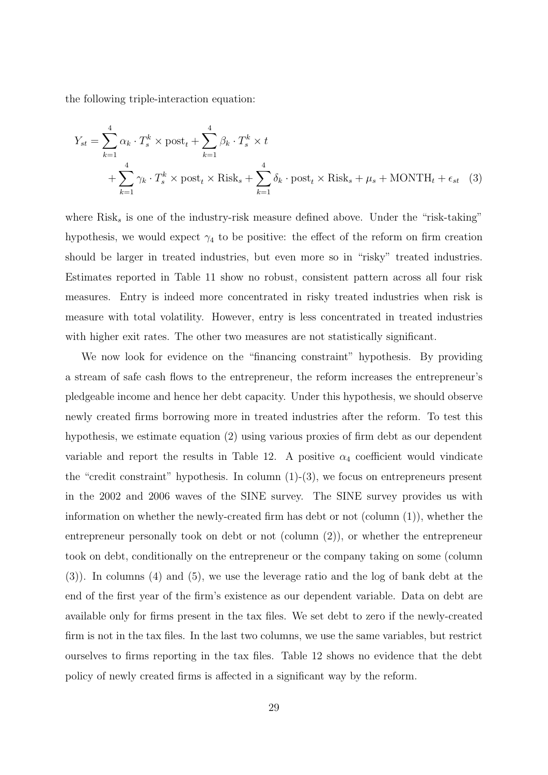the following triple-interaction equation:

$$
Y_{st} = \sum_{k=1}^{4} \alpha_k \cdot T_s^k \times \text{post}_t + \sum_{k=1}^{4} \beta_k \cdot T_s^k \times t
$$
  
+ 
$$
\sum_{k=1}^{4} \gamma_k \cdot T_s^k \times \text{post}_t \times \text{Risk}_s + \sum_{k=1}^{4} \delta_k \cdot \text{post}_t \times \text{Risk}_s + \mu_s + \text{MONTH}_t + \epsilon_{st} \quad (3)
$$

where  $Risk_s$  is one of the industry-risk measure defined above. Under the "risk-taking" hypothesis, we would expect  $\gamma_4$  to be positive: the effect of the reform on firm creation should be larger in treated industries, but even more so in "risky" treated industries. Estimates reported in Table 11 show no robust, consistent pattern across all four risk measures. Entry is indeed more concentrated in risky treated industries when risk is measure with total volatility. However, entry is less concentrated in treated industries with higher exit rates. The other two measures are not statistically significant.

We now look for evidence on the "financing constraint" hypothesis. By providing a stream of safe cash flows to the entrepreneur, the reform increases the entrepreneur's pledgeable income and hence her debt capacity. Under this hypothesis, we should observe newly created firms borrowing more in treated industries after the reform. To test this hypothesis, we estimate equation (2) using various proxies of firm debt as our dependent variable and report the results in Table 12. A positive  $\alpha_4$  coefficient would vindicate the "credit constraint" hypothesis. In column (1)-(3), we focus on entrepreneurs present in the 2002 and 2006 waves of the SINE survey. The SINE survey provides us with information on whether the newly-created firm has debt or not (column  $(1)$ ), whether the entrepreneur personally took on debt or not (column (2)), or whether the entrepreneur took on debt, conditionally on the entrepreneur or the company taking on some (column (3)). In columns (4) and (5), we use the leverage ratio and the log of bank debt at the end of the first year of the firm's existence as our dependent variable. Data on debt are available only for firms present in the tax files. We set debt to zero if the newly-created firm is not in the tax files. In the last two columns, we use the same variables, but restrict ourselves to firms reporting in the tax files. Table 12 shows no evidence that the debt policy of newly created firms is affected in a significant way by the reform.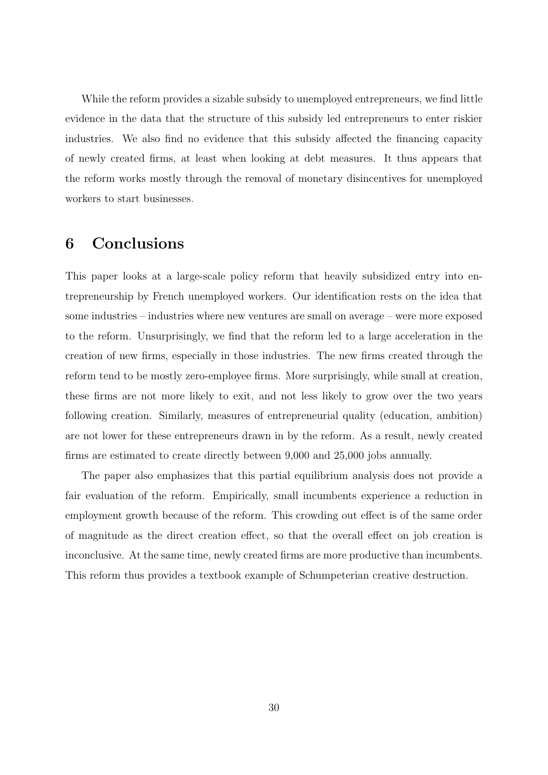While the reform provides a sizable subsidy to unemployed entrepreneurs, we find little evidence in the data that the structure of this subsidy led entrepreneurs to enter riskier industries. We also find no evidence that this subsidy affected the financing capacity of newly created firms, at least when looking at debt measures. It thus appears that the reform works mostly through the removal of monetary disincentives for unemployed workers to start businesses.

# 6 Conclusions

This paper looks at a large-scale policy reform that heavily subsidized entry into entrepreneurship by French unemployed workers. Our identification rests on the idea that some industries – industries where new ventures are small on average – were more exposed to the reform. Unsurprisingly, we find that the reform led to a large acceleration in the creation of new firms, especially in those industries. The new firms created through the reform tend to be mostly zero-employee firms. More surprisingly, while small at creation, these firms are not more likely to exit, and not less likely to grow over the two years following creation. Similarly, measures of entrepreneurial quality (education, ambition) are not lower for these entrepreneurs drawn in by the reform. As a result, newly created firms are estimated to create directly between 9,000 and 25,000 jobs annually.

The paper also emphasizes that this partial equilibrium analysis does not provide a fair evaluation of the reform. Empirically, small incumbents experience a reduction in employment growth because of the reform. This crowding out effect is of the same order of magnitude as the direct creation effect, so that the overall effect on job creation is inconclusive. At the same time, newly created firms are more productive than incumbents. This reform thus provides a textbook example of Schumpeterian creative destruction.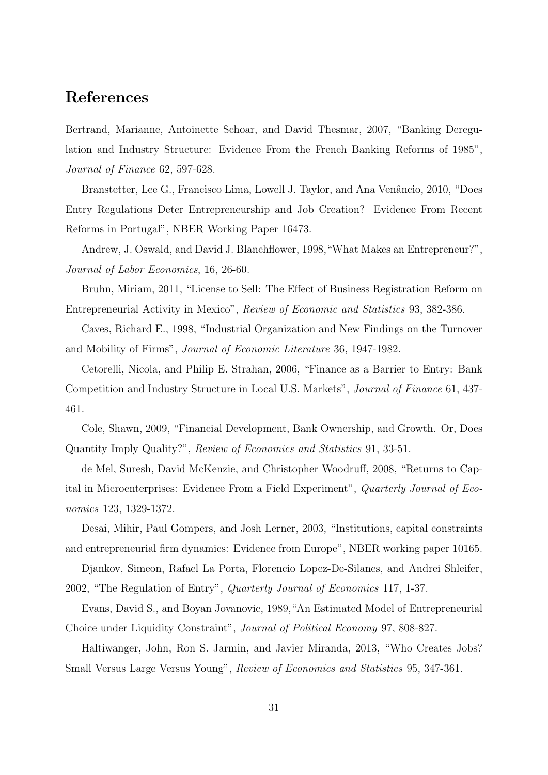# References

Bertrand, Marianne, Antoinette Schoar, and David Thesmar, 2007, "Banking Deregulation and Industry Structure: Evidence From the French Banking Reforms of 1985", Journal of Finance 62, 597-628.

Branstetter, Lee G., Francisco Lima, Lowell J. Taylor, and Ana Venâncio, 2010, "Does Entry Regulations Deter Entrepreneurship and Job Creation? Evidence From Recent Reforms in Portugal", NBER Working Paper 16473.

Andrew, J. Oswald, and David J. Blanchflower, 1998,"What Makes an Entrepreneur?", Journal of Labor Economics, 16, 26-60.

Bruhn, Miriam, 2011, "License to Sell: The Effect of Business Registration Reform on Entrepreneurial Activity in Mexico", Review of Economic and Statistics 93, 382-386.

Caves, Richard E., 1998, "Industrial Organization and New Findings on the Turnover and Mobility of Firms", Journal of Economic Literature 36, 1947-1982.

Cetorelli, Nicola, and Philip E. Strahan, 2006, "Finance as a Barrier to Entry: Bank Competition and Industry Structure in Local U.S. Markets", Journal of Finance 61, 437- 461.

Cole, Shawn, 2009, "Financial Development, Bank Ownership, and Growth. Or, Does Quantity Imply Quality?", Review of Economics and Statistics 91, 33-51.

de Mel, Suresh, David McKenzie, and Christopher Woodruff, 2008, "Returns to Capital in Microenterprises: Evidence From a Field Experiment", Quarterly Journal of Economics 123, 1329-1372.

Desai, Mihir, Paul Gompers, and Josh Lerner, 2003, "Institutions, capital constraints and entrepreneurial firm dynamics: Evidence from Europe", NBER working paper 10165.

Djankov, Simeon, Rafael La Porta, Florencio Lopez-De-Silanes, and Andrei Shleifer, 2002, "The Regulation of Entry", Quarterly Journal of Economics 117, 1-37.

Evans, David S., and Boyan Jovanovic, 1989,"An Estimated Model of Entrepreneurial Choice under Liquidity Constraint", Journal of Political Economy 97, 808-827.

Haltiwanger, John, Ron S. Jarmin, and Javier Miranda, 2013, "Who Creates Jobs? Small Versus Large Versus Young", Review of Economics and Statistics 95, 347-361.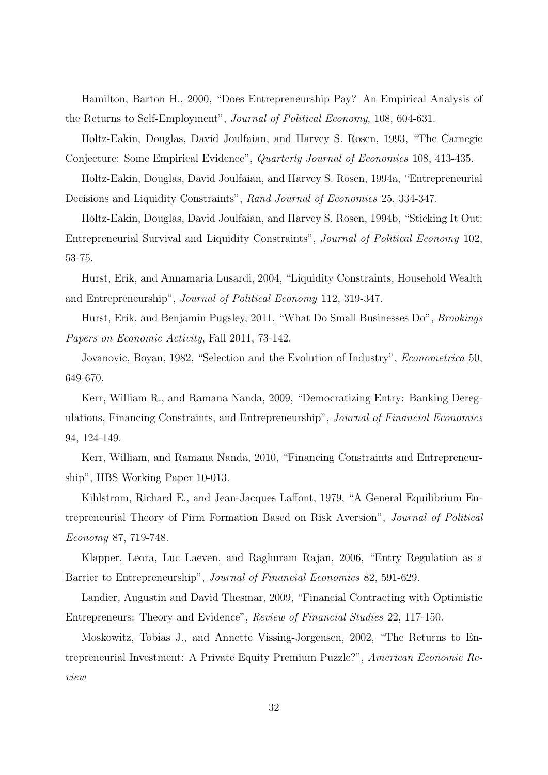Hamilton, Barton H., 2000, "Does Entrepreneurship Pay? An Empirical Analysis of the Returns to Self-Employment", Journal of Political Economy, 108, 604-631.

Holtz-Eakin, Douglas, David Joulfaian, and Harvey S. Rosen, 1993, "The Carnegie Conjecture: Some Empirical Evidence", Quarterly Journal of Economics 108, 413-435.

Holtz-Eakin, Douglas, David Joulfaian, and Harvey S. Rosen, 1994a, "Entrepreneurial Decisions and Liquidity Constraints", Rand Journal of Economics 25, 334-347.

Holtz-Eakin, Douglas, David Joulfaian, and Harvey S. Rosen, 1994b, "Sticking It Out: Entrepreneurial Survival and Liquidity Constraints", Journal of Political Economy 102, 53-75.

Hurst, Erik, and Annamaria Lusardi, 2004, "Liquidity Constraints, Household Wealth and Entrepreneurship", Journal of Political Economy 112, 319-347.

Hurst, Erik, and Benjamin Pugsley, 2011, "What Do Small Businesses Do", Brookings Papers on Economic Activity, Fall 2011, 73-142.

Jovanovic, Boyan, 1982, "Selection and the Evolution of Industry", Econometrica 50, 649-670.

Kerr, William R., and Ramana Nanda, 2009, "Democratizing Entry: Banking Deregulations, Financing Constraints, and Entrepreneurship", Journal of Financial Economics 94, 124-149.

Kerr, William, and Ramana Nanda, 2010, "Financing Constraints and Entrepreneurship", HBS Working Paper 10-013.

Kihlstrom, Richard E., and Jean-Jacques Laffont, 1979, "A General Equilibrium Entrepreneurial Theory of Firm Formation Based on Risk Aversion", Journal of Political Economy 87, 719-748.

Klapper, Leora, Luc Laeven, and Raghuram Rajan, 2006, "Entry Regulation as a Barrier to Entrepreneurship", Journal of Financial Economics 82, 591-629.

Landier, Augustin and David Thesmar, 2009, "Financial Contracting with Optimistic Entrepreneurs: Theory and Evidence", Review of Financial Studies 22, 117-150.

Moskowitz, Tobias J., and Annette Vissing-Jorgensen, 2002, "The Returns to Entrepreneurial Investment: A Private Equity Premium Puzzle?", American Economic Review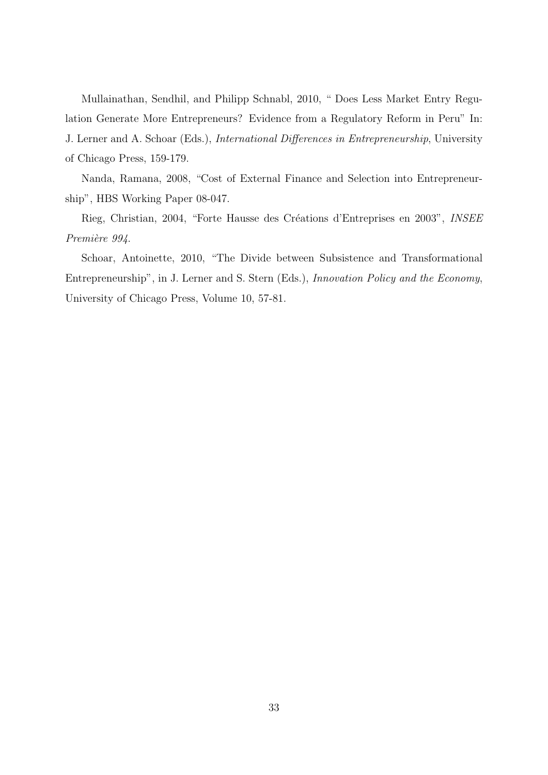Mullainathan, Sendhil, and Philipp Schnabl, 2010, " Does Less Market Entry Regulation Generate More Entrepreneurs? Evidence from a Regulatory Reform in Peru" In: J. Lerner and A. Schoar (Eds.), International Differences in Entrepreneurship, University of Chicago Press, 159-179.

Nanda, Ramana, 2008, "Cost of External Finance and Selection into Entrepreneurship", HBS Working Paper 08-047.

Rieg, Christian, 2004, "Forte Hausse des Créations d'Entreprises en 2003", INSEE Première 994.

Schoar, Antoinette, 2010, "The Divide between Subsistence and Transformational Entrepreneurship", in J. Lerner and S. Stern (Eds.), Innovation Policy and the Economy, University of Chicago Press, Volume 10, 57-81.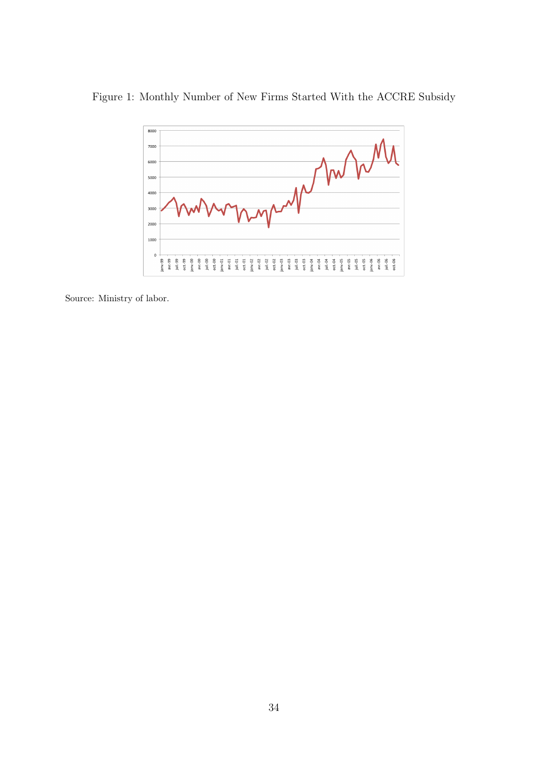# Figure 1: Monthly Number of New Firms Started With the ACCRE Subsidy



Source: Ministry of labor.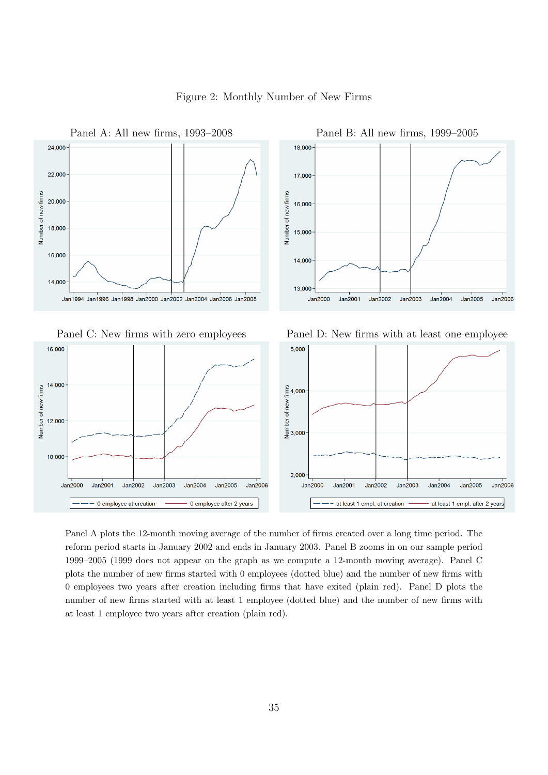

Figure 2: Monthly Number of New Firms

Panel A plots the 12-month moving average of the number of firms created over a long time period. The reform period starts in January 2002 and ends in January 2003. Panel B zooms in on our sample period 1999–2005 (1999 does not appear on the graph as we compute a 12-month moving average). Panel C plots the number of new firms started with 0 employees (dotted blue) and the number of new firms with 0 employees two years after creation including firms that have exited (plain red). Panel D plots the number of new firms started with at least 1 employee (dotted blue) and the number of new firms with at least 1 employee two years after creation (plain red).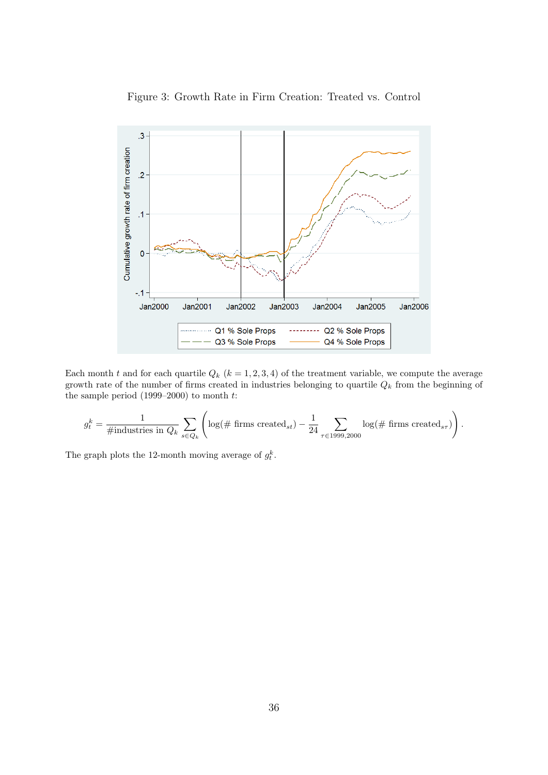

Figure 3: Growth Rate in Firm Creation: Treated vs. Control

Each month t and for each quartile  $Q_k$   $(k = 1, 2, 3, 4)$  of the treatment variable, we compute the average growth rate of the number of firms created in industries belonging to quartile  $Q_k$  from the beginning of the sample period  $(1999-2000)$  to month  $t$ :

$$
g_t^k = \frac{1}{\# \text{industries in } Q_k} \sum_{s \in Q_k} \left( \log(\# \text{ firms created}_{st}) - \frac{1}{24} \sum_{\tau \in 1999,2000} \log(\# \text{ firms created}_{s\tau}) \right).
$$

The graph plots the 12-month moving average of  $g_t^k$ .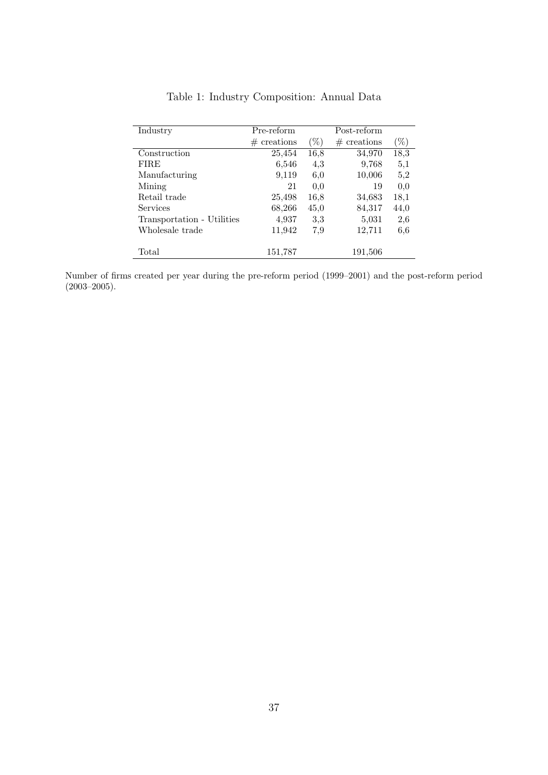| Industry                   | Pre-reform    |        | Post-reform   |      |
|----------------------------|---------------|--------|---------------|------|
|                            | $#$ creations | $(\%)$ | $#$ creations | 96)  |
| Construction               | 25,454        | 16,8   | 34,970        | 18,3 |
| <b>FIRE</b>                | 6,546         | 4,3    | 9,768         | 5,1  |
| Manufacturing              | 9,119         | 6,0    | 10,006        | 5,2  |
| Mining                     | 21            | 0.0    | 19            | 0,0  |
| Retail trade               | 25,498        | 16,8   | 34,683        | 18,1 |
| <b>Services</b>            | 68,266        | 45,0   | 84,317        | 44,0 |
| Transportation - Utilities | 4,937         | 3,3    | 5,031         | 2,6  |
| Wholesale trade            | 11,942        | 7,9    | 12,711        | 6,6  |
|                            |               |        |               |      |
| Total                      | 151,787       |        | 191,506       |      |

Table 1: Industry Composition: Annual Data

Number of firms created per year during the pre-reform period (1999–2001) and the post-reform period (2003–2005).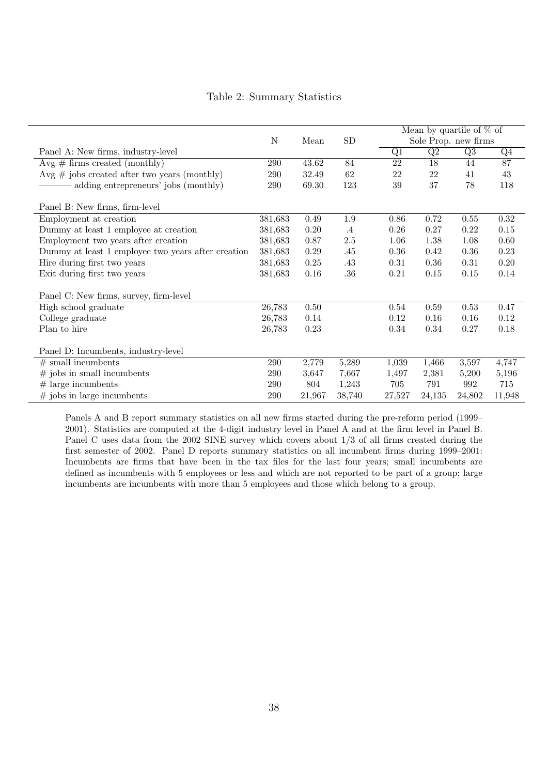|  |  | Table 2: Summary Statistics |  |
|--|--|-----------------------------|--|
|--|--|-----------------------------|--|

|                                                    |         |          |            | Mean by quartile of $\%$ of |                 |                          |                 |
|----------------------------------------------------|---------|----------|------------|-----------------------------|-----------------|--------------------------|-----------------|
|                                                    | N       | Mean     | ${\rm SD}$ |                             |                 | Sole Prop. new firms     |                 |
| Panel A: New firms, industry-level                 |         |          |            | Q1                          | $\overline{Q2}$ | $\overline{\mathrm{Q3}}$ | $\overline{Q4}$ |
| $Avg \# firms created (monthly)$                   | 290     | 43.62    | 84         | 22                          | 18              | 44                       | 87              |
| $Avg \# jobs created after two years (monthly)$    | 290     | 32.49    | $62\,$     | 22                          | 22              | 41                       | 43              |
| adding entrepreneurs' jobs (monthly)               | 290     | 69.30    | 123        | 39                          | 37              | 78                       | 118             |
| Panel B: New firms, firm-level                     |         |          |            |                             |                 |                          |                 |
| Employment at creation                             | 381,683 | 0.49     | $1.9\,$    | 0.86                        | 0.72            | 0.55                     | 0.32            |
| Dummy at least 1 employee at creation              | 381,683 | 0.20     | $\cdot$ 4  | 0.26                        | 0.27            | 0.22                     | 0.15            |
| Employment two years after creation                | 381,683 | 0.87     | $2.5\,$    | 1.06                        | 1.38            | 1.08                     | 0.60            |
| Dummy at least 1 employee two years after creation | 381,683 | 0.29     | .45        | 0.36                        | 0.42            | 0.36                     | 0.23            |
| Hire during first two years                        | 381,683 | 0.25     | .43        | 0.31                        | 0.36            | 0.31                     | 0.20            |
| Exit during first two years                        | 381,683 | 0.16     | .36        | 0.21                        | 0.15            | 0.15                     | 0.14            |
| Panel C: New firms, survey, firm-level             |         |          |            |                             |                 |                          |                 |
| High school graduate                               | 26,783  | $0.50\,$ |            | 0.54                        | 0.59            | 0.53                     | 0.47            |
| College graduate                                   | 26,783  | 0.14     |            | 0.12                        | 0.16            | 0.16                     | 0.12            |
| Plan to hire                                       | 26,783  | 0.23     |            | 0.34                        | 0.34            | 0.27                     | 0.18            |
| Panel D: Incumbents, industry-level                |         |          |            |                             |                 |                          |                 |
| $#$ small incumbents                               | 290     | 2,779    | 5,289      | 1,039                       | 1,466           | 3,597                    | 4,747           |
| $#$ jobs in small incumbents                       | 290     | 3,647    | 7,667      | 1,497                       | 2,381           | 5,200                    | 5,196           |
| $#$ large incumbents                               | 290     | 804      | 1,243      | 705                         | 791             | 992                      | 715             |
| $#$ jobs in large incumbents                       | 290     | 21,967   | 38,740     | 27,527                      | 24,135          | 24,802                   | 11,948          |

Panels A and B report summary statistics on all new firms started during the pre-reform period (1999– 2001). Statistics are computed at the 4-digit industry level in Panel A and at the firm level in Panel B. Panel C uses data from the 2002 SINE survey which covers about 1/3 of all firms created during the first semester of 2002. Panel D reports summary statistics on all incumbent firms during 1999–2001: Incumbents are firms that have been in the tax files for the last four years; small incumbents are defined as incumbents with 5 employees or less and which are not reported to be part of a group; large incumbents are incumbents with more than 5 employees and those which belong to a group.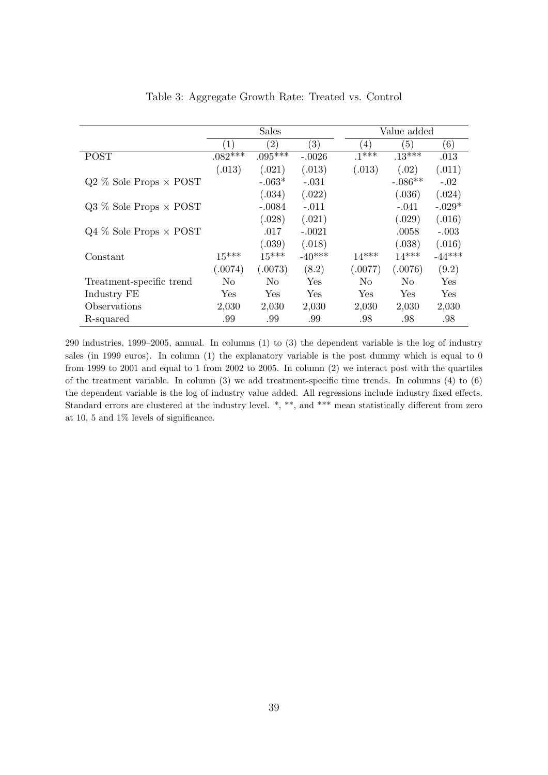|                                 |                  | <b>Sales</b>      |                   |                  | Value added |            |  |  |
|---------------------------------|------------------|-------------------|-------------------|------------------|-------------|------------|--|--|
|                                 |                  |                   |                   |                  |             |            |  |  |
|                                 | $\left(1\right)$ | $\left( 2\right)$ | $\left( 3\right)$ | $\left(4\right)$ | (5)         | (6)        |  |  |
| <b>POST</b>                     | $.082**$         | $.095***$         | $-.0026$          | $1***$           | $.13***$    | .013       |  |  |
|                                 | (.013)           | (.021)            | (.013)            | (.013)           | (.02)       | (.011)     |  |  |
| $Q2\%$ Sole Props $\times$ POST |                  | $-.063*$          | $-.031$           |                  | $-.086**$   | $-.02$     |  |  |
|                                 |                  | (.034)            | (.022)            |                  | (.036)      | (.024)     |  |  |
| $Q3\%$ Sole Props $\times$ POST |                  | $-.0084$          | $-.011$           |                  | $-.041$     | $-.029*$   |  |  |
|                                 |                  | (.028)            | (.021)            |                  | (.029)      | (.016)     |  |  |
| $Q4\%$ Sole Props $\times$ POST |                  | .017              | $-.0021$          |                  | .0058       | $-.003$    |  |  |
|                                 |                  | (.039)            | (.018)            |                  | (.038)      | (.016)     |  |  |
| Constant                        | $15***$          | $15***$           | $-40***$          | $14***$          | $14***$     | $-44***$   |  |  |
|                                 | (.0074)          | (.0073)           | (8.2)             | (.0077)          | (.0076)     | (9.2)      |  |  |
| Treatment-specific trend        | No               | N <sub>o</sub>    | Yes               | N <sub>0</sub>   | No          | Yes        |  |  |
| Industry FE                     | Yes              | Yes               | Yes.              | Yes              | Yes         | <b>Yes</b> |  |  |
| Observations                    | 2,030            | 2,030             | 2,030             | 2,030            | 2,030       | 2,030      |  |  |
| R-squared                       | .99              | .99               | .99               | .98              | .98         | .98        |  |  |

Table 3: Aggregate Growth Rate: Treated vs. Control

290 industries, 1999–2005, annual. In columns (1) to (3) the dependent variable is the log of industry sales (in 1999 euros). In column (1) the explanatory variable is the post dummy which is equal to 0 from 1999 to 2001 and equal to 1 from 2002 to 2005. In column (2) we interact post with the quartiles of the treatment variable. In column (3) we add treatment-specific time trends. In columns (4) to (6) the dependent variable is the log of industry value added. All regressions include industry fixed effects. Standard errors are clustered at the industry level.  $*, **$ , and  $***$  mean statistically different from zero at 10, 5 and 1% levels of significance.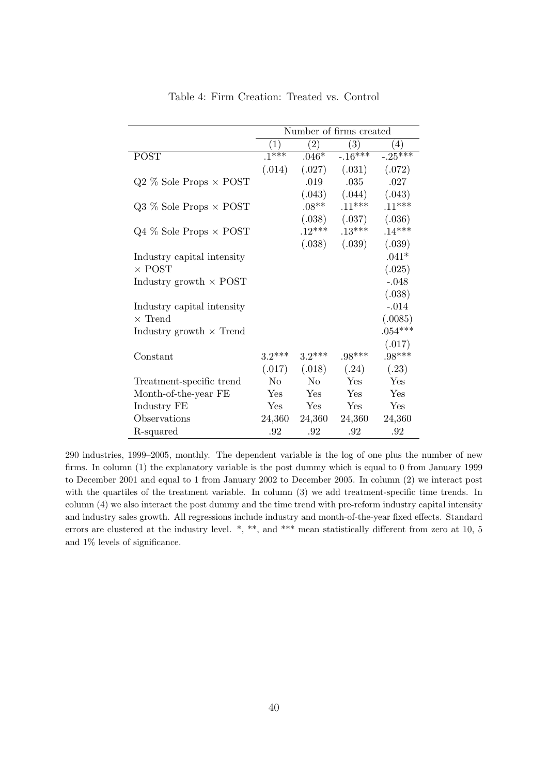|                                 | Number of firms created |                   |                   |                  |  |  |  |  |
|---------------------------------|-------------------------|-------------------|-------------------|------------------|--|--|--|--|
|                                 | $\left( 1\right)$       | $\left( 2\right)$ | (3)               | $\left(4\right)$ |  |  |  |  |
| <b>POST</b>                     | $.1***$                 | $.046*$           | $-.16***$         | $-.25***$        |  |  |  |  |
|                                 | (.014)                  | (.027)            | (.031)            | (.072)           |  |  |  |  |
| $Q2\%$ Sole Props $\times$ POST |                         | .019              | .035              | .027             |  |  |  |  |
|                                 |                         |                   | $(.043)$ $(.044)$ | (.043)           |  |  |  |  |
| $Q3\%$ Sole Props $\times$ POST |                         | $.08***$          | $.11***$          | $.11***$         |  |  |  |  |
|                                 |                         | (.038)            | (.037)            | (.036)           |  |  |  |  |
| $Q4\%$ Sole Props $\times$ POST |                         | $.12***$          | $.13***$          | $.14***$         |  |  |  |  |
|                                 |                         | (.038)            | (.039)            | (.039)           |  |  |  |  |
| Industry capital intensity      |                         |                   |                   | $.041^*$         |  |  |  |  |
| $\times$ POST                   |                         |                   |                   | (.025)           |  |  |  |  |
| Industry growth $\times$ POST   |                         |                   |                   | $-.048$          |  |  |  |  |
|                                 |                         |                   |                   | (.038)           |  |  |  |  |
| Industry capital intensity      |                         |                   |                   | $-.014$          |  |  |  |  |
| $\times$ Trend                  |                         |                   |                   | (.0085)          |  |  |  |  |
| Industry growth $\times$ Trend  |                         |                   |                   | $.054***$        |  |  |  |  |
|                                 |                         |                   |                   | (.017)           |  |  |  |  |
| Constant                        | $3.2***$                | $3.2***$          | $.98***$          | $.98***$         |  |  |  |  |
|                                 | (.017)                  | (.018)            | (.24)             | (.23)            |  |  |  |  |
| Treatment-specific trend        | No                      | No                | Yes               | Yes              |  |  |  |  |
| Month-of-the-year FE            | Yes                     | Yes               | Yes               | Yes              |  |  |  |  |
| Industry FE                     | <b>Yes</b>              | <b>Yes</b>        | Yes               | Yes              |  |  |  |  |
| Observations                    | 24,360                  | 24,360            | 24,360            | 24,360           |  |  |  |  |
| R-squared                       | .92                     | .92               | .92               | .92              |  |  |  |  |

Table 4: Firm Creation: Treated vs. Control

290 industries, 1999–2005, monthly. The dependent variable is the log of one plus the number of new firms. In column (1) the explanatory variable is the post dummy which is equal to 0 from January 1999 to December 2001 and equal to 1 from January 2002 to December 2005. In column (2) we interact post with the quartiles of the treatment variable. In column (3) we add treatment-specific time trends. In column (4) we also interact the post dummy and the time trend with pre-reform industry capital intensity and industry sales growth. All regressions include industry and month-of-the-year fixed effects. Standard errors are clustered at the industry level.  $*, **$ , and  $***$  mean statistically different from zero at 10, 5 and 1% levels of significance.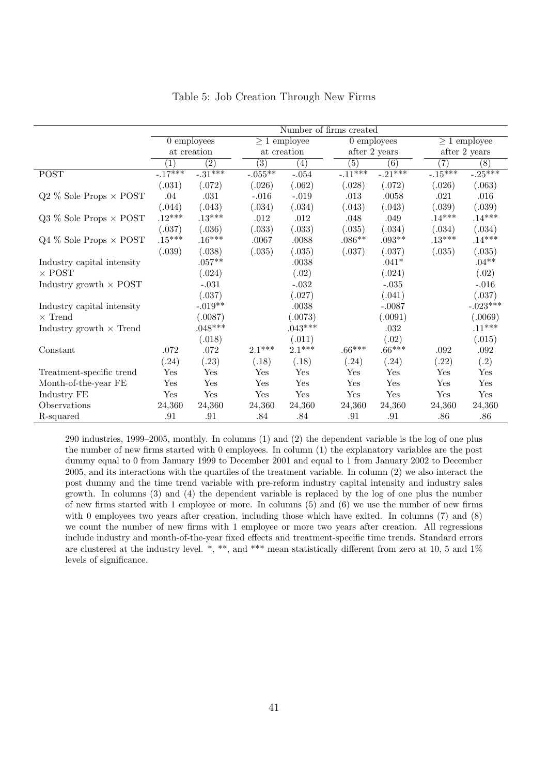|                                 | Number of firms created |                  |                  |                   |           |                  |                      |                   |  |
|---------------------------------|-------------------------|------------------|------------------|-------------------|-----------|------------------|----------------------|-------------------|--|
|                                 |                         | $0$ employees    |                  | $\geq 1$ employee |           | $0$ employees    |                      | $\geq 1$ employee |  |
|                                 |                         | at creation      |                  | at creation       |           | after 2 years    | after 2 years        |                   |  |
|                                 | $\left(1\right)$        | $\overline{(2)}$ | $\overline{(3)}$ | (4)               | (5)       | $\overline{(6)}$ | (7)                  | $\overline{(8)}$  |  |
| <b>POST</b>                     | $-17***$                | $-31***$         | $-0.055**$       | $-.054$           | $-.11***$ | $-0.21***$       | $-15***$             | $-0.25***$        |  |
|                                 | (.031)                  | (.072)           | (.026)           | (.062)            | (.028)    | (.072)           | (.026)               | (.063)            |  |
| $Q2\%$ Sole Props $\times$ POST | .04                     | .031             | $-.016$          | $-.019$           | .013      | .0058            | .021                 | .016              |  |
|                                 | (.044)                  | (.043)           | (.034)           | (.034)            | (.043)    | (.043)           | (.039)               | (.039)            |  |
| $Q3\%$ Sole Props $\times$ POST | $.12***$                | $.13***$         | .012             | .012              | .048      | .049             | $.14***$             | $.14***$          |  |
|                                 | (.037)                  | (.036)           | (.033)           | (.033)            | (.035)    | (.034)           | (.034)               | (.034)            |  |
| $Q4\%$ Sole Props $\times$ POST | $.15***$                | $.16***$         | .0067            | .0088             | $.086**$  | $.093**$         | $.13***$             | $.14***$          |  |
|                                 | (.039)                  | (.038)           | (.035)           | (.035)            | (.037)    | (.037)           | (.035)               | (.035)            |  |
| Industry capital intensity      |                         | $.057**$         |                  | .0038             |           | $.041*$          |                      | $.04**$           |  |
| $\times$ POST                   |                         | (.024)           |                  | (.02)             |           | (.024)           |                      | (.02)             |  |
| Industry growth $\times$ POST   |                         | $-.031$          |                  | $-.032$           |           | $-.035$          |                      | $-.016$           |  |
|                                 |                         | (.037)           |                  | (.027)            |           | (.041)           |                      | (.037)            |  |
| Industry capital intensity      |                         | $-.019**$        |                  | .0038             |           | $-.0087$         |                      | $-.023***$        |  |
| $\times$ Trend                  |                         | (.0087)          |                  | (.0073)           |           | (.0091)          |                      | (.0069)           |  |
| Industry growth $\times$ Trend  |                         | $.048***$        |                  | $.043***$         |           | .032             |                      | $.11***$          |  |
|                                 |                         | (.018)           |                  | (.011)            |           | (.02)            |                      | (.015)            |  |
| Constant                        | $.072\,$                | $.072\,$         | $2.1***$         | $2.1***$          | $.66***$  | $.66***$         | .092                 | $.092\,$          |  |
|                                 | (.24)                   | (.23)            | (.18)            | (.18)             | (.24)     | (.24)            | (.22)                | (.2)              |  |
| Treatment-specific trend        | $\operatorname{Yes}$    | Yes              | Yes              | Yes               | Yes       | Yes              | $\operatorname{Yes}$ | Yes               |  |
| Month-of-the-year FE            | Yes                     | Yes              | Yes              | Yes               | Yes       | Yes              | $_{\rm Yes}$         | Yes               |  |
| Industry FE                     | Yes                     | Yes              | Yes              | Yes               | Yes       | Yes              | Yes                  | Yes               |  |
| Observations                    | 24,360                  | 24,360           | 24,360           | 24,360            | 24,360    | 24,360           | 24,360               | 24,360            |  |
| R-squared                       | .91                     | .91              | .84              | .84               | .91       | .91              | .86                  | .86               |  |

#### Table 5: Job Creation Through New Firms

290 industries, 1999–2005, monthly. In columns (1) and (2) the dependent variable is the log of one plus the number of new firms started with 0 employees. In column (1) the explanatory variables are the post dummy equal to 0 from January 1999 to December 2001 and equal to 1 from January 2002 to December 2005, and its interactions with the quartiles of the treatment variable. In column (2) we also interact the post dummy and the time trend variable with pre-reform industry capital intensity and industry sales growth. In columns (3) and (4) the dependent variable is replaced by the log of one plus the number of new firms started with 1 employee or more. In columns (5) and (6) we use the number of new firms with 0 employees two years after creation, including those which have exited. In columns (7) and (8) we count the number of new firms with 1 employee or more two years after creation. All regressions include industry and month-of-the-year fixed effects and treatment-specific time trends. Standard errors are clustered at the industry level. \*, \*\*, and \*\*\* mean statistically different from zero at 10, 5 and 1% levels of significance.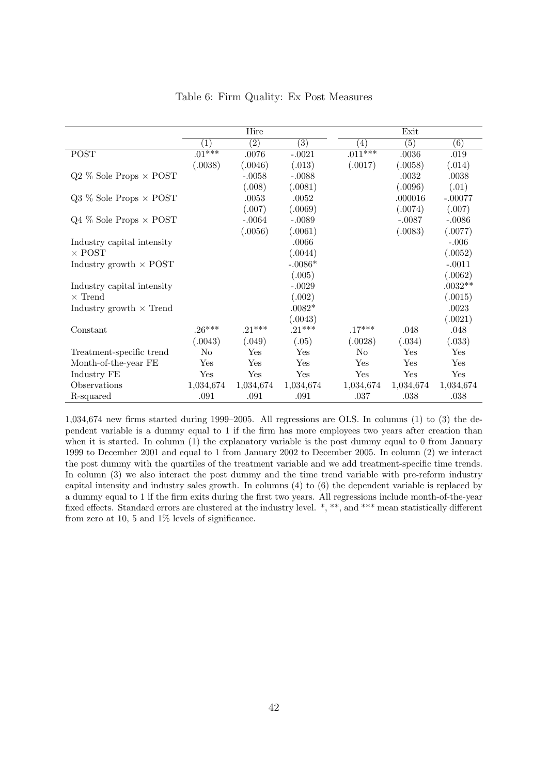|                                 |                  | Hire             |                   |                   | Exit             |                   |
|---------------------------------|------------------|------------------|-------------------|-------------------|------------------|-------------------|
|                                 | $\left(1\right)$ | $\overline{(2)}$ | $\left( 3\right)$ | $\left( 4\right)$ | $\overline{(5)}$ | $\left( 6\right)$ |
| <b>POST</b>                     | $.01***$         | .0076            | $-.0021$          | $.011***$         | .0036            | .019              |
|                                 | (.0038)          | (.0046)          | (.013)            | (.0017)           | (.0058)          | (.014)            |
| $Q2\%$ Sole Props $\times$ POST |                  | $-.0058$         | $-.0088$          |                   | .0032            | .0038             |
|                                 |                  | (.008)           | (.0081)           |                   | (.0096)          | (.01)             |
| $Q3\%$ Sole Props $\times$ POST |                  | .0053            | .0052             |                   | .000016          | $-.00077$         |
|                                 |                  | (.007)           | (.0069)           |                   | (.0074)          | (.007)            |
| $Q4\%$ Sole Props $\times$ POST |                  | $-.0064$         | $-.0089$          |                   | $-.0087$         | $-.0086$          |
|                                 |                  | (.0056)          | (.0061)           |                   | (.0083)          | (.0077)           |
| Industry capital intensity      |                  |                  | .0066             |                   |                  | $-.006$           |
| $\times$ POST                   |                  |                  | (.0044)           |                   |                  | (.0052)           |
| Industry growth $\times$ POST   |                  |                  | $-.0086*$         |                   |                  | $-.0011$          |
|                                 |                  |                  | (.005)            |                   |                  | (.0062)           |
| Industry capital intensity      |                  |                  | $-.0029$          |                   |                  | $.0032**$         |
| $\times$ Trend                  |                  |                  | (.002)            |                   |                  | (.0015)           |
| Industry growth $\times$ Trend  |                  |                  | $.0082*$          |                   |                  | .0023             |
|                                 |                  |                  | (.0043)           |                   |                  | (.0021)           |
| Constant                        | $.26***$         | $.21***$         | $.21***$          | $.17***$          | .048             | .048              |
|                                 | (.0043)          | (.049)           | (.05)             | (.0028)           | (.034)           | (.033)            |
| Treatment-specific trend        | $\rm No$         | Yes              | Yes               | N <sub>0</sub>    | Yes              | Yes               |
| Month-of-the-year FE            | Yes              | Yes              | Yes               | Yes               | Yes              | Yes               |
| Industry FE                     | Yes              | Yes              | Yes               | Yes               | Yes              | Yes               |
| Observations                    | 1,034,674        | 1,034,674        | 1,034,674         | 1,034,674         | 1,034,674        | 1,034,674         |
| R-squared                       | .091             | .091             | .091              | .037              | .038             | .038              |

#### Table 6: Firm Quality: Ex Post Measures

1,034,674 new firms started during 1999–2005. All regressions are OLS. In columns (1) to (3) the dependent variable is a dummy equal to 1 if the firm has more employees two years after creation than when it is started. In column (1) the explanatory variable is the post dummy equal to 0 from January 1999 to December 2001 and equal to 1 from January 2002 to December 2005. In column (2) we interact the post dummy with the quartiles of the treatment variable and we add treatment-specific time trends. In column (3) we also interact the post dummy and the time trend variable with pre-reform industry capital intensity and industry sales growth. In columns (4) to (6) the dependent variable is replaced by a dummy equal to 1 if the firm exits during the first two years. All regressions include month-of-the-year fixed effects. Standard errors are clustered at the industry level. \*, \*\*, and \*\*\* mean statistically different from zero at 10, 5 and 1% levels of significance.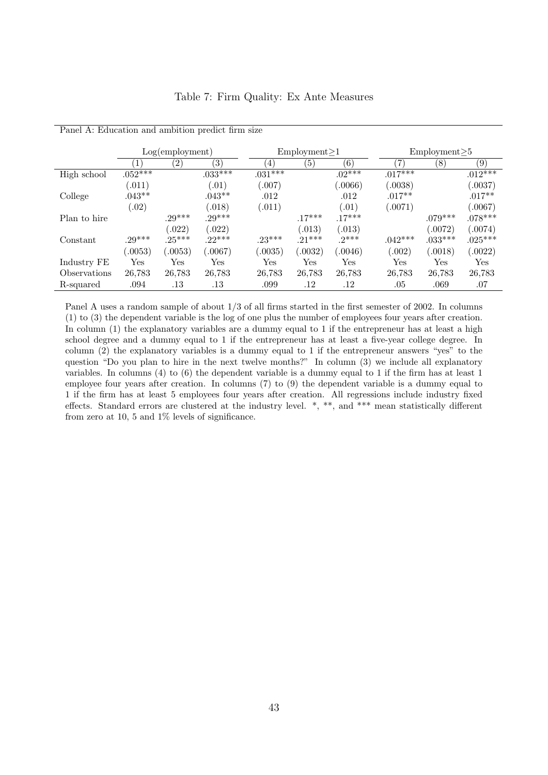|              | $Log(em$ ployment) |               |           |           | Employment > 1 |          |           | $Employment \ge 5$ |           |  |
|--------------|--------------------|---------------|-----------|-----------|----------------|----------|-----------|--------------------|-----------|--|
|              | $\mathbf{1}$       | $^{\prime}2)$ | (3)       | 4)        | (5)            | (6)      |           | (8)                | (9)       |  |
| High school  | $.052***$          |               | $.033***$ | $.031***$ |                | $.02***$ | $.017***$ |                    | $.012***$ |  |
|              | (.011)             |               | (0.01)    | (.007)    |                | (.0066)  | (.0038)   |                    | (.0037)   |  |
| College      | $.043**$           |               | $.043**$  | .012      |                | .012     | $.017**$  |                    | $.017**$  |  |
|              | (.02)              |               | (.018)    | (.011)    |                | (.01)    | (.0071)   |                    | (.0067)   |  |
| Plan to hire |                    | $29***$       | $29***$   |           | $.17***$       | $.17***$ |           | $.079***$          | $.078***$ |  |
|              |                    | (0.022)       | (.022)    |           | (.013)         | (.013)   |           | (.0072)            | (.0074)   |  |
| Constant     | $.29***$           | $.25***$      | $22***$   | $.23***$  | $21***$        | $2***$   | $.042***$ | $.033***$          | $.025***$ |  |
|              | 0053)              | 0.0053        | (.0067)   | 0.0035)   | .0032)         | 0046)    | (.002)    | (.0018)            | (.0022)   |  |
| Industry FE  | Yes                | Yes           | Yes       | Yes       | Yes            | Yes      | Yes       | Yes                | Yes       |  |
| Observations | 26,783             | 26,783        | 26,783    | 26,783    | 26,783         | 26,783   | 26,783    | 26,783             | 26,783    |  |
| R-squared    | .094               | .13           | .13       | .099      | .12            | $.12\,$  | .05       | .069               | .07       |  |

Panel A: Education and ambition predict firm size

Panel A uses a random sample of about 1/3 of all firms started in the first semester of 2002. In columns (1) to (3) the dependent variable is the log of one plus the number of employees four years after creation. In column (1) the explanatory variables are a dummy equal to 1 if the entrepreneur has at least a high school degree and a dummy equal to 1 if the entrepreneur has at least a five-year college degree. In column (2) the explanatory variables is a dummy equal to 1 if the entrepreneur answers "yes" to the question "Do you plan to hire in the next twelve months?" In column (3) we include all explanatory variables. In columns (4) to (6) the dependent variable is a dummy equal to 1 if the firm has at least 1 employee four years after creation. In columns (7) to (9) the dependent variable is a dummy equal to 1 if the firm has at least 5 employees four years after creation. All regressions include industry fixed effects. Standard errors are clustered at the industry level. \*, \*\*, and \*\*\* mean statistically different from zero at 10, 5 and 1% levels of significance.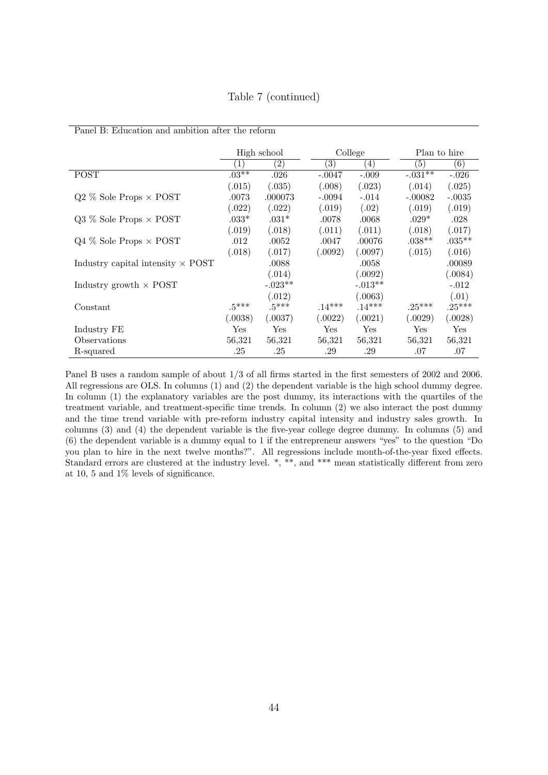Table 7 (continued)

|                                          | High school      |                   |                   | College    | Plan to hire |                   |
|------------------------------------------|------------------|-------------------|-------------------|------------|--------------|-------------------|
|                                          | $\left(1\right)$ | $\left( 2\right)$ | $\left( 3\right)$ | (4)        | (5)          | $\left( 6\right)$ |
| <b>POST</b>                              | $.03**$          | .026              | $-.0047$          | $-.009$    | $-.031**$    | $-.026$           |
|                                          | (.015)           | (.035)            | (.008)            | (.023)     | (.014)       | (.025)            |
| $Q2\%$ Sole Props $\times$ POST          | .0073            | .000073           | $-.0094$          | $-.014$    | $-.00082$    | $-.0035$          |
|                                          | (.022)           | (.022)            | (.019)            | (.02)      | (.019)       | (.019)            |
| $Q3\%$ Sole Props $\times$ POST          | $.033*$          | $.031*$           | .0078             | .0068      | $.029*$      | .028              |
|                                          | (.019)           | (.018)            | (.011)            | (.011)     | (.018)       | (.017)            |
| $Q4\%$ Sole Props $\times$ POST          | .012             | .0052             | .0047             | .00076     | $.038***$    | $.035***$         |
|                                          | (.018)           | (.017)            | (.0092)           | (.0097)    | (.015)       | (.016)            |
| Industry capital intensity $\times$ POST |                  | .0088             |                   | .0058      |              | .00089            |
|                                          |                  | (.014)            |                   | (.0092)    |              | (.0084)           |
| Industry growth $\times$ POST            |                  | $-.023**$         |                   | $-.013**$  |              | $-.012$           |
|                                          |                  | (.012)            |                   | (.0063)    |              | (.01)             |
| Constant                                 | $.5***$          | $.5***$           | $.14***$          | $.14***$   | $.25***$     | $.25***$          |
|                                          | (.0038)          | (.0037)           | (.0022)           | (.0021)    | (.0029)      | (.0028)           |
| Industry FE                              | Yes              | Yes               | Yes.              | <b>Yes</b> | Yes          | Yes               |
| Observations                             | 56,321           | 56,321            | 56,321            | 56,321     | 56,321       | 56,321            |
| R-squared                                | .25              | .25               | .29               | .29        | .07          | .07               |

Panel B: Education and ambition after the reform

Panel B uses a random sample of about 1/3 of all firms started in the first semesters of 2002 and 2006. All regressions are OLS. In columns (1) and (2) the dependent variable is the high school dummy degree. In column (1) the explanatory variables are the post dummy, its interactions with the quartiles of the treatment variable, and treatment-specific time trends. In column (2) we also interact the post dummy and the time trend variable with pre-reform industry capital intensity and industry sales growth. In columns (3) and (4) the dependent variable is the five-year college degree dummy. In columns (5) and (6) the dependent variable is a dummy equal to 1 if the entrepreneur answers "yes" to the question "Do you plan to hire in the next twelve months?". All regressions include month-of-the-year fixed effects. Standard errors are clustered at the industry level. \*, \*\*, and \*\*\* mean statistically different from zero at 10, 5 and 1% levels of significance.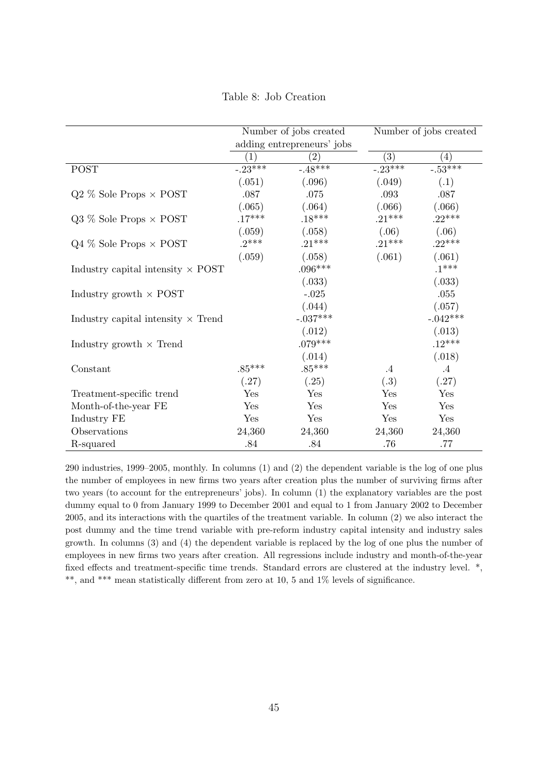Table 8: Job Creation

|                                           |                   | Number of jobs created     | Number of jobs created |                   |  |
|-------------------------------------------|-------------------|----------------------------|------------------------|-------------------|--|
|                                           |                   | adding entrepreneurs' jobs |                        |                   |  |
|                                           | $\left( 1\right)$ | $\left( 2\right)$          | (3)                    | $\left( 4\right)$ |  |
| <b>POST</b>                               | $-23***$          | $-.48***$                  | $-0.23***$             | $-0.53***$        |  |
|                                           | (.051)            | (.096)                     | (.049)                 | (.1)              |  |
| $Q2\%$ Sole Props $\times$ POST           | .087              | .075                       | .093                   | .087              |  |
|                                           | (.065)            | (.064)                     | (.066)                 | (.066)            |  |
| $Q3\%$ Sole Props $\times$ POST           | $.17***$          | $.18***$                   | $.21***$               | $.22***$          |  |
|                                           | (.059)            | (.058)                     | (.06)                  | (.06)             |  |
| $Q4\%$ Sole Props $\times$ POST           | $.2***$           | $.21***$                   | $.21***$               | $.22***$          |  |
|                                           | (.059)            | (.058)                     | (.061)                 | (.061)            |  |
| Industry capital intensity $\times$ POST  |                   | $.096***$                  |                        | $.1***$           |  |
|                                           |                   | (.033)                     |                        | (.033)            |  |
| Industry growth $\times$ POST             |                   | $-.025$                    |                        | .055              |  |
|                                           |                   | (.044)                     |                        | (.057)            |  |
| Industry capital intensity $\times$ Trend |                   | $-.037***$                 |                        | $-.042***$        |  |
|                                           |                   | (.012)                     |                        | (.013)            |  |
| Industry growth $\times$ Trend            |                   | $.079***$                  |                        | $.12***$          |  |
|                                           |                   | (.014)                     |                        | (.018)            |  |
| Constant                                  | $.85***$          | $.85***$                   | $\cdot$ 4              | $\cdot$ 4         |  |
|                                           | (.27)             | (.25)                      | (.3)                   | (.27)             |  |
| Treatment-specific trend                  | Yes               | Yes                        | Yes                    | Yes               |  |
| Month-of-the-year FE                      | Yes               | Yes                        | Yes                    | Yes               |  |
| Industry FE                               | Yes               | Yes                        | Yes                    | Yes               |  |
| Observations                              | 24,360            | 24,360                     | 24,360                 | 24,360            |  |
| R-squared                                 | .84               | .84                        | .76                    | $.77$             |  |

290 industries, 1999–2005, monthly. In columns (1) and (2) the dependent variable is the log of one plus the number of employees in new firms two years after creation plus the number of surviving firms after two years (to account for the entrepreneurs' jobs). In column (1) the explanatory variables are the post dummy equal to 0 from January 1999 to December 2001 and equal to 1 from January 2002 to December 2005, and its interactions with the quartiles of the treatment variable. In column (2) we also interact the post dummy and the time trend variable with pre-reform industry capital intensity and industry sales growth. In columns (3) and (4) the dependent variable is replaced by the log of one plus the number of employees in new firms two years after creation. All regressions include industry and month-of-the-year fixed effects and treatment-specific time trends. Standard errors are clustered at the industry level. \*, \*\*, and \*\*\* mean statistically different from zero at 10, 5 and 1% levels of significance.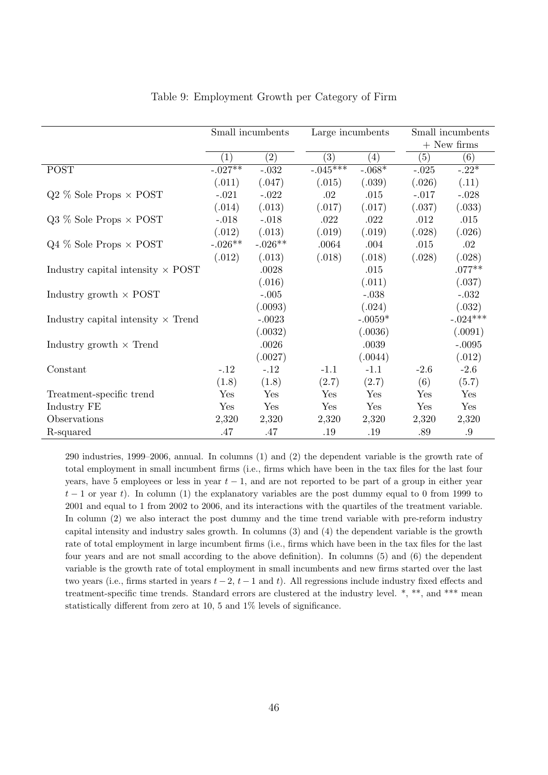|                                           | Small incumbents |           | Large incumbents |           |            | Small incumbents |  |  |
|-------------------------------------------|------------------|-----------|------------------|-----------|------------|------------------|--|--|
|                                           |                  |           |                  |           |            | $+$ New firms    |  |  |
|                                           | $\left(1\right)$ | (2)       | (3)              | (4)       | (5)        | (6)              |  |  |
| <b>POST</b>                               | $-.027**$        | $-.032$   | $-.045***$       | $-.068*$  | $-.025$    | $-.22*$          |  |  |
|                                           | (.011)           | (.047)    | (.015)           | (.039)    | (.026)     | (.11)            |  |  |
| $Q2\%$ Sole Props $\times$ POST           | $-.021$          | $-.022$   | .02              | .015      | $-.017$    | $-.028$          |  |  |
|                                           | (.014)           | (.013)    | (.017)           | (.017)    | (.037)     | (.033)           |  |  |
| $Q3\%$ Sole Props $\times$ POST           | $-.018$          | $-.018$   | .022             | .022      | .012       | .015             |  |  |
|                                           | (.012)           | (.013)    | (.019)           | (.019)    | (.028)     | (.026)           |  |  |
| $Q4\%$ Sole Props $\times$ POST           | $-.026**$        | $-.026**$ | .0064            | .004      | .015       | .02              |  |  |
|                                           | (.012)           | (.013)    | (.018)           | (.018)    | (.028)     | (.028)           |  |  |
| Industry capital intensity $\times$ POST  |                  | $.0028\,$ |                  | .015      |            | $.077**$         |  |  |
|                                           |                  | (.016)    |                  | (.011)    |            | (.037)           |  |  |
| Industry growth $\times$ POST             |                  | $-.005$   |                  | $-.038$   |            | $-.032$          |  |  |
|                                           |                  | (.0093)   |                  | (.024)    |            | (.032)           |  |  |
| Industry capital intensity $\times$ Trend |                  | $-.0023$  |                  | $-.0059*$ |            | $-.024***$       |  |  |
|                                           |                  | (.0032)   |                  | (.0036)   |            | (.0091)          |  |  |
| Industry growth $\times$ Trend            |                  | .0026     |                  | .0039     |            | $-.0095$         |  |  |
|                                           |                  | (.0027)   |                  | (.0044)   |            | (.012)           |  |  |
| Constant                                  | $-.12$           | $-.12$    | $-1.1$           | $-1.1$    | $-2.6$     | $-2.6$           |  |  |
|                                           | (1.8)            | (1.8)     | (2.7)            | (2.7)     | (6)        | (5.7)            |  |  |
| Treatment-specific trend                  | Yes              | Yes       | Yes              | Yes       | Yes        | Yes              |  |  |
| Industry FE                               | Yes              | Yes       | Yes              | Yes       | Yes        | Yes              |  |  |
| Observations                              | 2,320            | 2,320     | 2,320            | 2,320     | 2,320      | 2,320            |  |  |
| R-squared                                 | .47              | .47       | $.19\,$          | $.19\,$   | $.89$ $\,$ | .9               |  |  |

#### Table 9: Employment Growth per Category of Firm

290 industries, 1999–2006, annual. In columns (1) and (2) the dependent variable is the growth rate of total employment in small incumbent firms (i.e., firms which have been in the tax files for the last four years, have 5 employees or less in year  $t-1$ , and are not reported to be part of a group in either year  $t-1$  or year t). In column (1) the explanatory variables are the post dummy equal to 0 from 1999 to 2001 and equal to 1 from 2002 to 2006, and its interactions with the quartiles of the treatment variable. In column (2) we also interact the post dummy and the time trend variable with pre-reform industry capital intensity and industry sales growth. In columns (3) and (4) the dependent variable is the growth rate of total employment in large incumbent firms (i.e., firms which have been in the tax files for the last four years and are not small according to the above definition). In columns (5) and (6) the dependent variable is the growth rate of total employment in small incumbents and new firms started over the last two years (i.e., firms started in years  $t - 2$ ,  $t - 1$  and t). All regressions include industry fixed effects and treatment-specific time trends. Standard errors are clustered at the industry level. \*, \*\*, and \*\*\* mean statistically different from zero at 10, 5 and 1% levels of significance.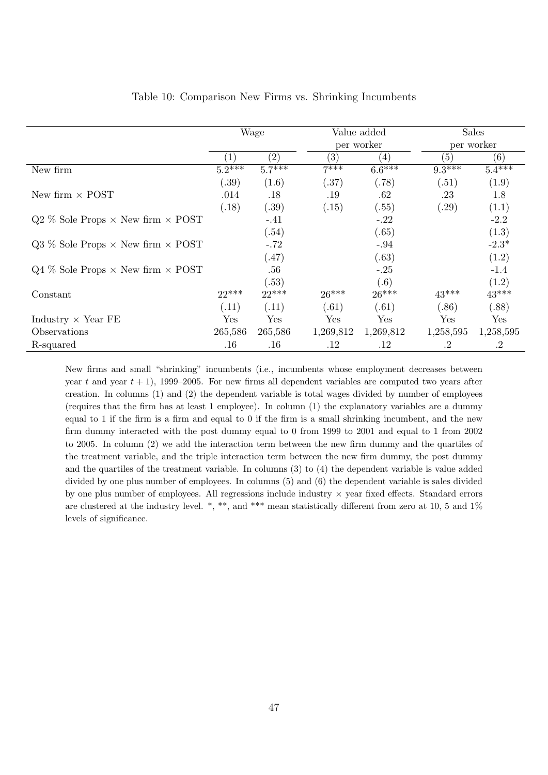|                                                   | Wage         |                   |                   | Value added         |           | <b>Sales</b> |
|---------------------------------------------------|--------------|-------------------|-------------------|---------------------|-----------|--------------|
|                                                   |              |                   |                   | per worker          |           | per worker   |
|                                                   | $\mathbf{1}$ | $\left( 2\right)$ | $\left( 3\right)$ | (4)                 | (5)       | (6)          |
| New firm                                          | $5.2***$     | $5.7***$          | $7***$            | $6.\overline{6***}$ | $9.3***$  | $5.4***$     |
|                                                   | (.39)        | (1.6)             | (.37)             | (.78)               | (.51)     | (1.9)        |
| New firm $\times$ POST                            | .014         | .18               | .19               | .62                 | .23       | 1.8          |
|                                                   | (.18)        | (.39)             | (.15)             | (.55)               | (.29)     | (1.1)        |
| $Q2\%$ Sole Props $\times$ New firm $\times$ POST |              | $-.41$            |                   | $-.22$              |           | $-2.2$       |
|                                                   |              | (.54)             |                   | (.65)               |           | (1.3)        |
| $Q3\%$ Sole Props $\times$ New firm $\times$ POST |              | $-.72$            |                   | $-.94$              |           | $-2.3*$      |
|                                                   |              | (.47)             |                   | (.63)               |           | (1.2)        |
| $Q4\%$ Sole Props $\times$ New firm $\times$ POST |              | .56               |                   | $-.25$              |           | $-1.4$       |
|                                                   |              | (.53)             |                   | (.6)                |           | (1.2)        |
| Constant                                          | $22***$      | $22***$           | $26***$           | $26***$             | $43***$   | $43***$      |
|                                                   | (.11)        | (.11)             | (.61)             | (.61)               | (.86)     | (.88)        |
| Industry $\times$ Year FE                         | ${\rm Yes}$  | Yes               | Yes               | Yes                 | Yes       | Yes          |
| Observations                                      | 265,586      | 265,586           | 1,269,812         | 1,269,812           | 1,258,595 | 1,258,595    |
| R-squared                                         | .16          | $.16\,$           | .12               | $.12\,$             | $\cdot$ 2 | $\cdot$ 2    |

#### Table 10: Comparison New Firms vs. Shrinking Incumbents

New firms and small "shrinking" incumbents (i.e., incumbents whose employment decreases between year t and year  $t + 1$ ), 1999–2005. For new firms all dependent variables are computed two years after creation. In columns (1) and (2) the dependent variable is total wages divided by number of employees (requires that the firm has at least 1 employee). In column (1) the explanatory variables are a dummy equal to 1 if the firm is a firm and equal to 0 if the firm is a small shrinking incumbent, and the new firm dummy interacted with the post dummy equal to 0 from 1999 to 2001 and equal to 1 from 2002 to 2005. In column (2) we add the interaction term between the new firm dummy and the quartiles of the treatment variable, and the triple interaction term between the new firm dummy, the post dummy and the quartiles of the treatment variable. In columns (3) to (4) the dependent variable is value added divided by one plus number of employees. In columns (5) and (6) the dependent variable is sales divided by one plus number of employees. All regressions include industry × year fixed effects. Standard errors are clustered at the industry level. \*, \*\*, and \*\*\* mean statistically different from zero at 10, 5 and 1% levels of significance.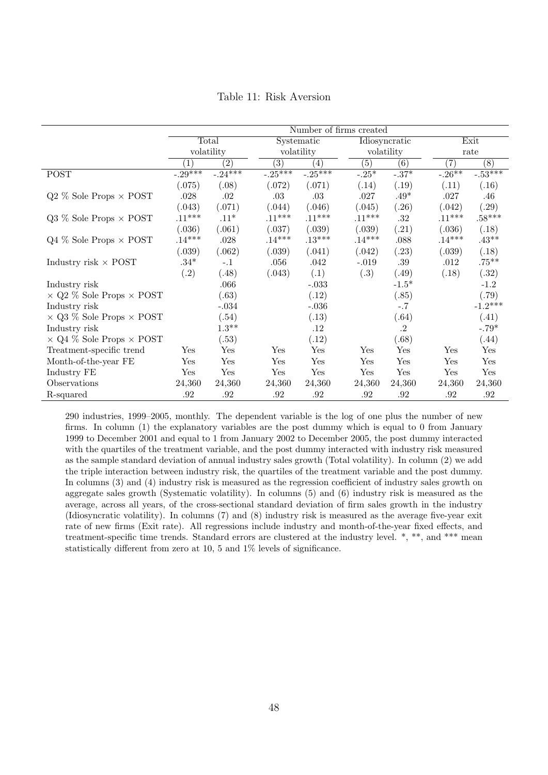|                                        | Number of firms created |                      |                  |                   |                      |                  |                   |                  |  |
|----------------------------------------|-------------------------|----------------------|------------------|-------------------|----------------------|------------------|-------------------|------------------|--|
|                                        | Total                   |                      | Systematic       |                   | <b>Idiosyncratic</b> |                  |                   | Exit             |  |
|                                        | volatility              |                      |                  | volatility        |                      | volatility       |                   | rate             |  |
|                                        | $\mathbf{1}$            | $\overline{(2)}$     | $\overline{(3)}$ | $\left( 4\right)$ | $\left( 5\right)$    | $\overline{(6)}$ | $\left( 7\right)$ | $\overline{(8)}$ |  |
| <b>POST</b>                            | $-0.29***$              | $-24***$             | $-0.25***$       | $-0.25***$        | $-.25*$              | $-.37*$          | $-.26***$         | $-0.53***$       |  |
|                                        | (.075)                  | (.08)                | (.072)           | (.071)            | (.14)                | (.19)            | (.11)             | (.16)            |  |
| $Q2\%$ Sole Props $\times$ POST        | .028                    | .02                  | .03              | $.03\,$           | .027                 | $.49*$           | .027              | .46              |  |
|                                        | (.043)                  | (.071)               | (.044)           | (.046)            | (.045)               | (.26)            | (.042)            | (.29)            |  |
| $Q3\%$ Sole Props $\times$ POST        | $.11***$                | $.11*$               | $.11***$         | $.11***$          | $.11***$             | .32              | $.11***$          | $.58^{***}\,$    |  |
|                                        | (.036)                  | (.061)               | (.037)           | (.039)            | (.039)               | (.21)            | (.036)            | (.18)            |  |
| $Q4\%$ Sole Props $\times$ POST        | $.14***$                | .028                 | $.14***$         | $.13***$          | $.14***$             | .088             | $.14***$          | $.43***$         |  |
|                                        | (.039)                  | (.062)               | (.039)           | (.041)            | (.042)               | (.23)            | (.039)            | (.18)            |  |
| Industry risk $\times$ POST            | $.34*$                  | $-.1$                | .056             | $.042\,$          | $-.019$              | .39              | .012              | $.75***$         |  |
|                                        | (.2)                    | (.48)                | (.043)           | (.1)              | (.3)                 | (.49)            | (.18)             | (.32)            |  |
| Industry risk                          |                         | .066                 |                  | $-.033$           |                      | $-1.5*$          |                   | $-1.2$           |  |
| $\times$ Q2 % Sole Props $\times$ POST |                         | (.63)                |                  | (.12)             |                      | (.85)            |                   | (.79)            |  |
| Industry risk                          |                         | $-.034$              |                  | $-.036$           |                      | $-.7$            |                   | $-1.2***$        |  |
| $\times$ Q3 % Sole Props $\times$ POST |                         | (.54)                |                  | (.13)             |                      | (.64)            |                   | (.41)            |  |
| Industry risk                          |                         | $1.3***$             |                  | $.12\,$           |                      | $\cdot$ 2        |                   | $-.79*$          |  |
| $\times$ Q4 % Sole Props $\times$ POST |                         | (.53)                |                  | (.12)             |                      | (.68)            |                   | (.44)            |  |
| Treatment-specific trend               | Yes                     | $\operatorname{Yes}$ | Yes              | Yes               | Yes                  | Yes              | Yes               | Yes              |  |
| Month-of-the-year FE                   | $\operatorname{Yes}$    | $_{\rm Yes}$         | Yes              | Yes               | Yes                  | Yes              | Yes               | Yes              |  |
| Industry FE                            | Yes                     | Yes                  | Yes              | Yes               | Yes                  | Yes              | Yes               | Yes              |  |
| Observations                           | 24,360                  | 24,360               | 24,360           | 24,360            | 24,360               | 24,360           | 24,360            | 24,360           |  |
| R-squared                              | .92                     | $.92\,$              | .92              | .92               | .92                  | $.92\,$          | $.92\,$           | $.92\,$          |  |

Table 11: Risk Aversion

290 industries, 1999–2005, monthly. The dependent variable is the log of one plus the number of new firms. In column (1) the explanatory variables are the post dummy which is equal to 0 from January 1999 to December 2001 and equal to 1 from January 2002 to December 2005, the post dummy interacted with the quartiles of the treatment variable, and the post dummy interacted with industry risk measured as the sample standard deviation of annual industry sales growth (Total volatility). In column (2) we add the triple interaction between industry risk, the quartiles of the treatment variable and the post dummy. In columns (3) and (4) industry risk is measured as the regression coefficient of industry sales growth on aggregate sales growth (Systematic volatility). In columns (5) and (6) industry risk is measured as the average, across all years, of the cross-sectional standard deviation of firm sales growth in the industry (Idiosyncratic volatility). In columns (7) and (8) industry risk is measured as the average five-year exit rate of new firms (Exit rate). All regressions include industry and month-of-the-year fixed effects, and treatment-specific time trends. Standard errors are clustered at the industry level. \*, \*\*, and \*\*\* mean statistically different from zero at 10, 5 and 1% levels of significance.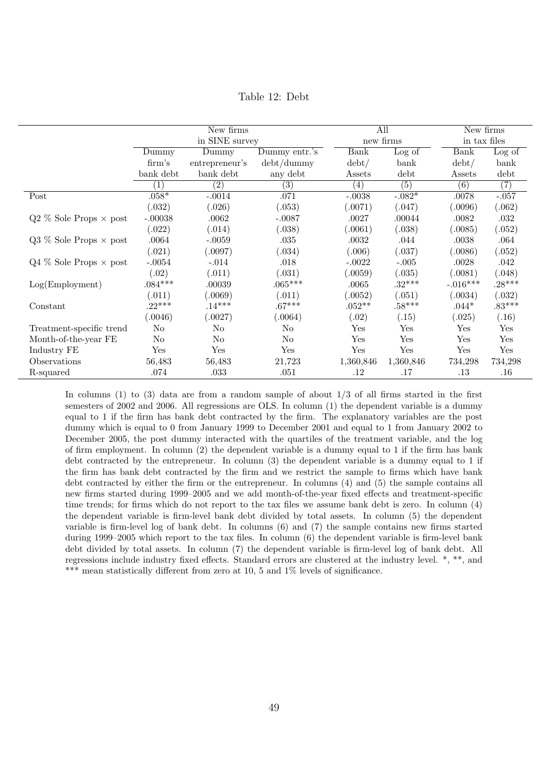Table 12: Debt

|                                 | New firms         |                  |                                |                  | All       | New firms        |                            |
|---------------------------------|-------------------|------------------|--------------------------------|------------------|-----------|------------------|----------------------------|
|                                 |                   | in SINE survey   |                                |                  | new firms | in tax files     |                            |
|                                 | Dummy             | Dummy            | Dummy entr.'s                  | <b>Bank</b>      | Log of    | <b>Bank</b>      | $\overline{\text{Log}}$ of |
|                                 | $\mathrm{firm's}$ | entrepreneur's   | $\mathrm{debt}/\mathrm{dummy}$ | $\mathrm{debt}/$ | bank      | $\mathrm{debt}/$ | bank                       |
|                                 | bank debt         | bank debt        | any debt                       | Assets           | debt      | Assets           | debt                       |
|                                 | $\overline{1}$    | $\overline{(2)}$ | (3)                            | (4)              | (5)       | (6)              | $\overline{(7)}$           |
| Post                            | $.058*$           | $-.0014$         | .071                           | $-.0038$         | $-.082*$  | .0078            | $-.057$                    |
|                                 | (.032)            | (.026)           | (.053)                         | (.0071)          | (.047)    | (.0096)          | (.062)                     |
| $Q2\%$ Sole Props $\times$ post | $-.00038$         | .0062            | $-.0087$                       | .0027            | .00044    | .0082            | .032                       |
|                                 | (.022)            | (.014)           | (.038)                         | (.0061)          | (.038)    | (.0085)          | (.052)                     |
| $Q3\%$ Sole Props $\times$ post | .0064             | $-.0059$         | .035                           | .0032            | .044      | .0038            | .064                       |
|                                 | (.021)            | (.0097)          | (.034)                         | (.006)           | (.037)    | (.0086)          | (.052)                     |
| $Q4\%$ Sole Props $\times$ post | $-.0054$          | $-.014$          | .018                           | $-.0022$         | $-.005$   | .0028            | .042                       |
|                                 | (.02)             | (.011)           | (.031)                         | (.0059)          | (.035)    | (.0081)          | (.048)                     |
| Log(Employment)                 | $.084***$         | .00039           | $.065***$                      | .0065            | $.32***$  | $-.016***$       | $.28***$                   |
|                                 | (.011)            | (.0069)          | (.011)                         | (.0052)          | (.051)    | (.0034)          | (.032)                     |
| Constant                        | $.22***$          | $.14***$         | $.67***$                       | $.052**$         | $.58***$  | $.044*$          | $.83***$                   |
|                                 | (.0046)           | (.0027)          | (.0064)                        | (.02)            | (.15)     | (.025)           | (.16)                      |
| Treatment-specific trend        | $\rm No$          | No.              | No                             | Yes              | Yes       | Yes              | Yes                        |
| Month-of-the-year FE            | $\rm No$          | No               | N <sub>o</sub>                 | Yes              | Yes       | Yes              | Yes                        |
| Industry FE                     | Yes               | Yes              | Yes                            | Yes              | Yes       | Yes              | Yes                        |
| Observations                    | 56,483            | 56,483           | 21,723                         | 1,360,846        | 1,360,846 | 734,298          | 734,298                    |
| R-squared                       | .074              | .033             | .051                           | $.12\,$          | .17       | .13              | $.16\,$                    |

In columns (1) to (3) data are from a random sample of about 1/3 of all firms started in the first semesters of 2002 and 2006. All regressions are OLS. In column (1) the dependent variable is a dummy equal to 1 if the firm has bank debt contracted by the firm. The explanatory variables are the post dummy which is equal to 0 from January 1999 to December 2001 and equal to 1 from January 2002 to December 2005, the post dummy interacted with the quartiles of the treatment variable, and the log of firm employment. In column (2) the dependent variable is a dummy equal to 1 if the firm has bank debt contracted by the entrepreneur. In column (3) the dependent variable is a dummy equal to 1 if the firm has bank debt contracted by the firm and we restrict the sample to firms which have bank debt contracted by either the firm or the entrepreneur. In columns (4) and (5) the sample contains all new firms started during 1999–2005 and we add month-of-the-year fixed effects and treatment-specific time trends; for firms which do not report to the tax files we assume bank debt is zero. In column (4) the dependent variable is firm-level bank debt divided by total assets. In column (5) the dependent variable is firm-level log of bank debt. In columns (6) and (7) the sample contains new firms started during 1999–2005 which report to the tax files. In column (6) the dependent variable is firm-level bank debt divided by total assets. In column (7) the dependent variable is firm-level log of bank debt. All regressions include industry fixed effects. Standard errors are clustered at the industry level. \*, \*\*, and \*\*\* mean statistically different from zero at 10, 5 and 1% levels of significance.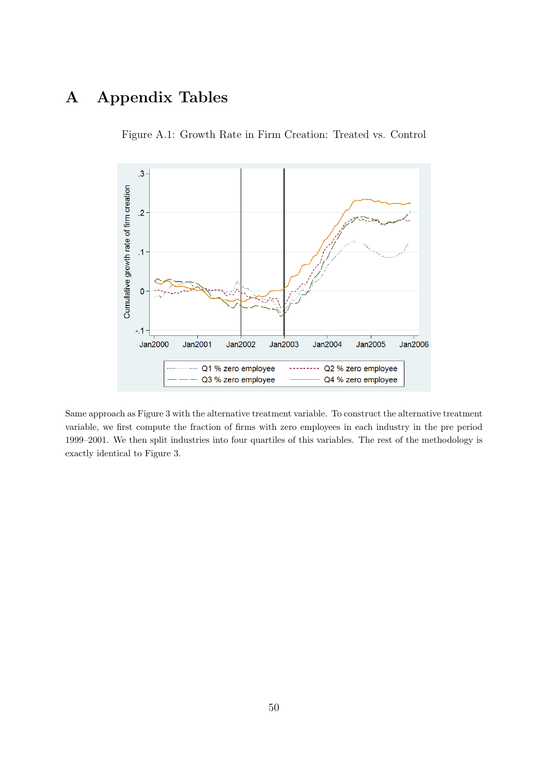# A Appendix Tables





Same approach as Figure 3 with the alternative treatment variable. To construct the alternative treatment variable, we first compute the fraction of firms with zero employees in each industry in the pre period 1999–2001. We then split industries into four quartiles of this variables. The rest of the methodology is exactly identical to Figure 3.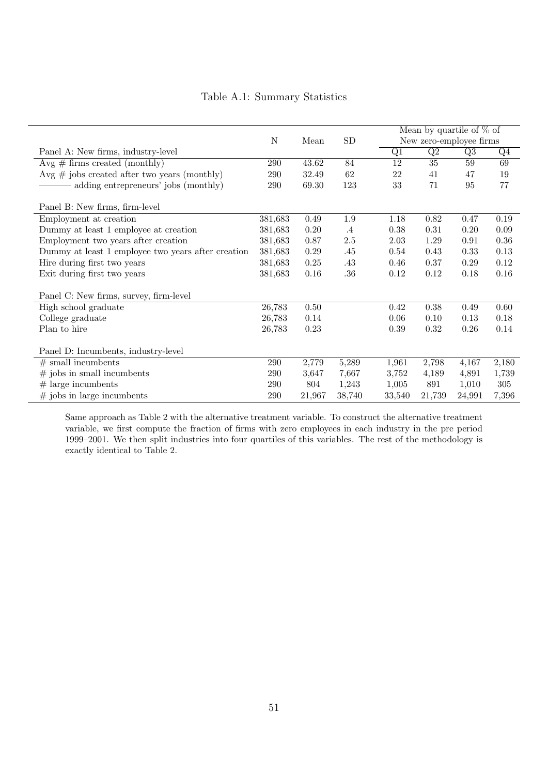|                                                    |             |        |            |        | Mean by quartile of $\%$ of |        |       |
|----------------------------------------------------|-------------|--------|------------|--------|-----------------------------|--------|-------|
|                                                    | $\mathbf N$ | Mean   | ${\rm SD}$ |        | New zero-employee firms     |        |       |
| Panel A: New firms, industry-level                 |             |        |            | Q1     | $\overline{Q2}$             | Q3     | $Q_4$ |
| $Avg \# firms created (monthly)$                   | 290         | 43.62  | 84         | 12     | 35                          | 59     | 69    |
| $Avg \# jobs created after two years (monthly)$    | 290         | 32.49  | 62         | 22     | 41                          | 47     | 19    |
| adding entrepreneurs' jobs (monthly)               | 290         | 69.30  | 123        | 33     | 71                          | 95     | 77    |
| Panel B: New firms, firm-level                     |             |        |            |        |                             |        |       |
| Employment at creation                             | 381,683     | 0.49   | 1.9        | 1.18   | 0.82                        | 0.47   | 0.19  |
| Dummy at least 1 employee at creation              | 381,683     | 0.20   | $.4\,$     | 0.38   | 0.31                        | 0.20   | 0.09  |
| Employment two years after creation                | 381,683     | 0.87   | $2.5\,$    | 2.03   | 1.29                        | 0.91   | 0.36  |
| Dummy at least 1 employee two years after creation | 381,683     | 0.29   | .45        | 0.54   | 0.43                        | 0.33   | 0.13  |
| Hire during first two years                        | 381,683     | 0.25   | .43        | 0.46   | 0.37                        | 0.29   | 0.12  |
| Exit during first two years                        | 381,683     | 0.16   | .36        | 0.12   | 0.12                        | 0.18   | 0.16  |
| Panel C: New firms, survey, firm-level             |             |        |            |        |                             |        |       |
| High school graduate                               | 26,783      | 0.50   |            | 0.42   | 0.38                        | 0.49   | 0.60  |
| College graduate                                   | 26,783      | 0.14   |            | 0.06   | 0.10                        | 0.13   | 0.18  |
| Plan to hire                                       | 26,783      | 0.23   |            | 0.39   | 0.32                        | 0.26   | 0.14  |
| Panel D: Incumbents, industry-level                |             |        |            |        |                             |        |       |
| $#$ small incumbents                               | 290         | 2,779  | 5,289      | 1,961  | 2,798                       | 4,167  | 2,180 |
| $#$ jobs in small incumbents                       | 290         | 3,647  | 7,667      | 3,752  | 4,189                       | 4,891  | 1,739 |
| $#$ large incumbents                               | 290         | 804    | 1,243      | 1,005  | 891                         | 1,010  | 305   |
| $#$ jobs in large incumbents                       | 290         | 21,967 | 38,740     | 33,540 | 21,739                      | 24,991 | 7,396 |

# Table A.1: Summary Statistics

Same approach as Table 2 with the alternative treatment variable. To construct the alternative treatment variable, we first compute the fraction of firms with zero employees in each industry in the pre period 1999–2001. We then split industries into four quartiles of this variables. The rest of the methodology is exactly identical to Table 2.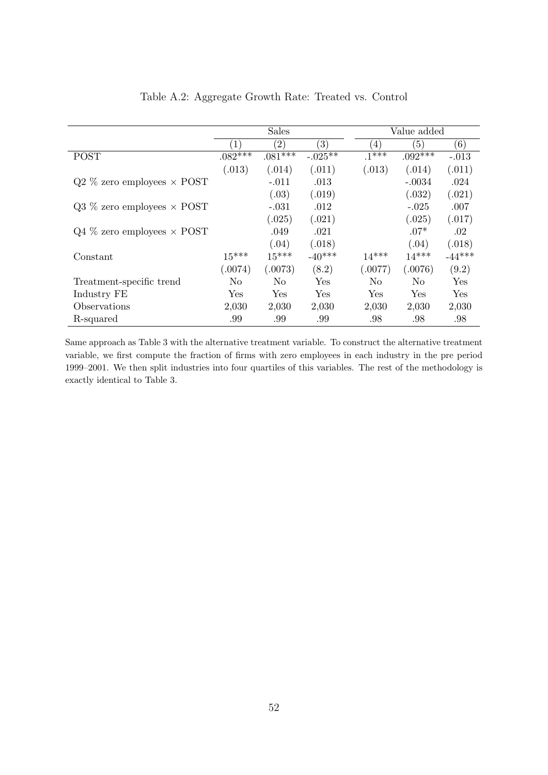|                                     |                  | <b>Sales</b>      |                   |         | Value added |          |
|-------------------------------------|------------------|-------------------|-------------------|---------|-------------|----------|
|                                     | $\left  \right $ | $\left( 2\right)$ | $\left( 3\right)$ | (4)     | (5)         | (6)      |
| <b>POST</b>                         | $.082**$         | $.081***$         | $-.025**$         | $.1***$ | $.092***$   | $-.013$  |
|                                     | (.013)           | (.014)            | (.011)            | (.013)  | (.014)      | (.011)   |
| $Q2\%$ zero employees $\times$ POST |                  | $-.011$           | .013              |         | $-.0034$    | .024     |
|                                     |                  | (.03)             | (.019)            |         | (.032)      | (.021)   |
| $Q3\%$ zero employees $\times$ POST |                  | $-.031$           | .012              |         | $-.025$     | .007     |
|                                     |                  | (.025)            | (.021)            |         | (.025)      | (.017)   |
| $Q4\%$ zero employees $\times$ POST |                  | .049              | .021              |         | $.07*$      | $.02\,$  |
|                                     |                  | (.04)             | (.018)            |         | (.04)       | (.018)   |
| Constant                            | $15***$          | $15***$           | $-40***$          | $14***$ | $14***$     | $-44***$ |
|                                     | (.0074)          | (.0073)           | (8.2)             | (.0077) | (.0076)     | (9.2)    |
| Treatment-specific trend            | No.              | No.               | Yes               | No      | No.         | Yes      |
| Industry FE                         | Yes              | Yes               | Yes               | Yes     | Yes         | Yes      |
| Observations                        | 2,030            | 2,030             | 2,030             | 2,030   | 2,030       | 2,030    |
| R-squared                           | .99              | .99               | .99               | .98     | .98         | .98      |

# Table A.2: Aggregate Growth Rate: Treated vs. Control

Same approach as Table 3 with the alternative treatment variable. To construct the alternative treatment variable, we first compute the fraction of firms with zero employees in each industry in the pre period 1999–2001. We then split industries into four quartiles of this variables. The rest of the methodology is exactly identical to Table 3.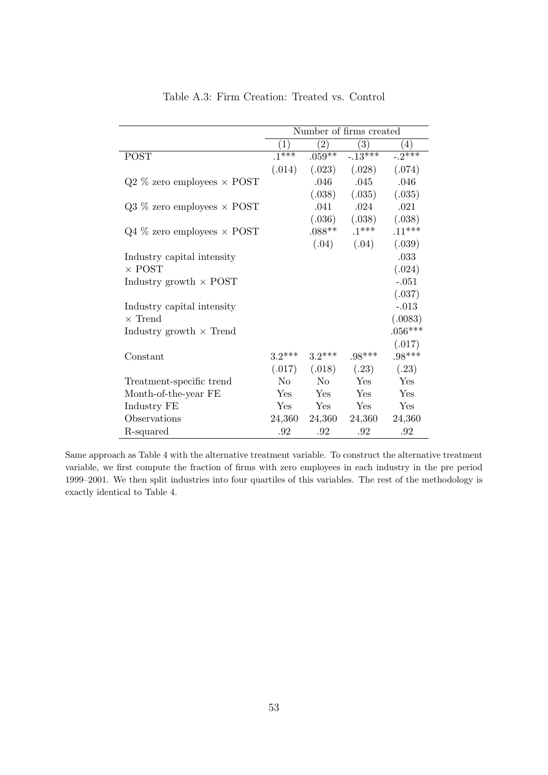|                                     |                  |            | Number of firms created |                  |
|-------------------------------------|------------------|------------|-------------------------|------------------|
|                                     | $\left(1\right)$ | $^{'}2)$   | (3)                     | $\left(4\right)$ |
| <b>POST</b>                         | $.1***$          | $.059**$   | $-.13***$               | $-.2$ ***        |
|                                     | (.014)           | (.023)     | (.028)                  | (.074)           |
| $Q2\%$ zero employees $\times$ POST |                  | .046       | .045                    | .046             |
|                                     |                  | (.038)     | (.035)                  | (.035)           |
| $Q3\%$ zero employees $\times$ POST |                  | .041       | .024                    | .021             |
|                                     |                  | (.036)     | (.038)                  | (.038)           |
| $Q4\%$ zero employees $\times$ POST |                  | $.088**$   | $.1***$                 | $.11***$         |
|                                     |                  | (.04)      | (.04)                   | (.039)           |
| Industry capital intensity          |                  |            |                         | .033             |
| $\times$ POST                       |                  |            |                         | (.024)           |
| Industry growth $\times$ POST       |                  |            |                         | $-.051$          |
|                                     |                  |            |                         | (.037)           |
| Industry capital intensity          |                  |            |                         | $-.013$          |
| $\times$ Trend                      |                  |            |                         | (.0083)          |
| Industry growth $\times$ Trend      |                  |            |                         | $.056***$        |
|                                     |                  |            |                         | (.017)           |
| Constant                            | $3.2***$         | $3.2***$   | $.98***$                | $.98***$         |
|                                     | (.017)           | (.018)     | (.23)                   | (.23)            |
| Treatment-specific trend            | N <sub>0</sub>   | $\rm No$   | Yes                     | Yes              |
| Month-of-the-year FE                | <b>Yes</b>       | <b>Yes</b> | Yes                     | Yes              |
| Industry FE                         | Yes              | Yes        | <b>Yes</b>              | Yes              |
| Observations                        | 24,360           | 24,360     | 24,360                  | 24,360           |
| R-squared                           | .92              | .92        | .92                     | .92              |

Table A.3: Firm Creation: Treated vs. Control

Same approach as Table 4 with the alternative treatment variable. To construct the alternative treatment variable, we first compute the fraction of firms with zero employees in each industry in the pre period 1999–2001. We then split industries into four quartiles of this variables. The rest of the methodology is exactly identical to Table 4.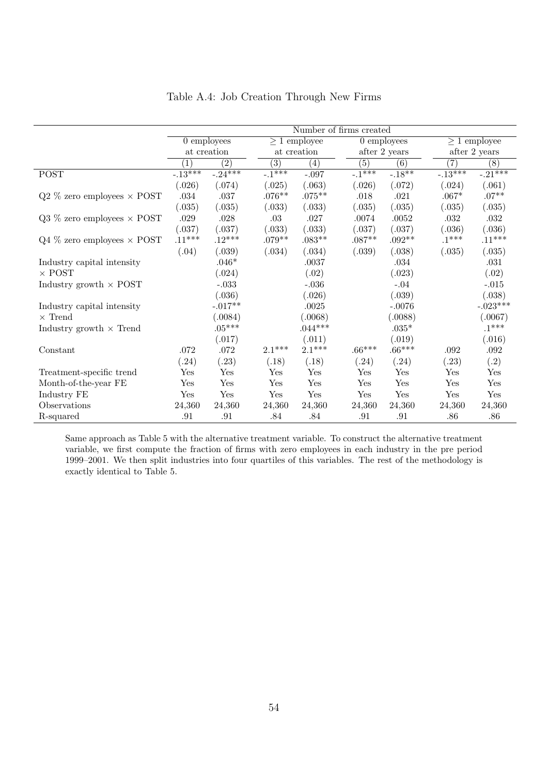|                                     | Number of firms created |                  |                  |                   |          |                          |                   |                   |  |
|-------------------------------------|-------------------------|------------------|------------------|-------------------|----------|--------------------------|-------------------|-------------------|--|
|                                     |                         | $0$ employees    |                  | $\geq 1$ employee |          | $\overline{0}$ employees |                   | $\geq 1$ employee |  |
|                                     |                         | at creation      |                  | at creation       |          | after 2 years            |                   | after 2 years     |  |
|                                     | $\mathbf{1}$            | $\overline{(2)}$ | $\overline{(3)}$ | $\left( 4\right)$ | (5)      | $\left( 6\right)$        | $\left( 7\right)$ | $\left(8\right)$  |  |
| <b>POST</b>                         | $-.13***$               | $-24***$         | $-1***$          | $-.097$           | $-1***$  | $-18**$                  | $-13***$          | $-0.21***$        |  |
|                                     | (.026)                  | (.074)           | (.025)           | (.063)            | (.026)   | (.072)                   | (.024)            | (.061)            |  |
| $Q2\%$ zero employees $\times$ POST | .034                    | .037             | $.076**$         | $.075***$         | .018     | .021                     | $.067*$           | $.07**$           |  |
|                                     | (.035)                  | (.035)           | (.033)           | (.033)            | (.035)   | (.035)                   | (.035)            | (.035)            |  |
| $Q3\%$ zero employees $\times$ POST | .029                    | .028             | .03              | .027              | .0074    | .0052                    | .032              | .032              |  |
|                                     | (.037)                  | (.037)           | (.033)           | (.033)            | (.037)   | (.037)                   | (.036)            | (.036)            |  |
| $Q4\%$ zero employees $\times$ POST | $.11***$                | $.12***$         | $.079**$         | $.083**$          | $.087**$ | $.092**$                 | $.1***$           | $.11***$          |  |
|                                     | (.04)                   | (.039)           | (.034)           | (.034)            | (.039)   | (.038)                   | (.035)            | (.035)            |  |
| Industry capital intensity          |                         | $.046*$          |                  | .0037             |          | $.034\,$                 |                   | $.031\,$          |  |
| $\times$ POST                       |                         | (.024)           |                  | (.02)             |          | (.023)                   |                   | (.02)             |  |
| Industry growth $\times$ POST       |                         | $-.033$          |                  | $-.036$           |          | $-.04$                   |                   | $-.015$           |  |
|                                     |                         | (.036)           |                  | (.026)            |          | (.039)                   |                   | (.038)            |  |
| Industry capital intensity          |                         | $-.017**$        |                  | .0025             |          | $-.0076$                 |                   | $-.023***$        |  |
| $\times$ Trend                      |                         | (.0084)          |                  | 0068)             |          | (.0088)                  |                   | (.0067)           |  |
| Industry growth $\times$ Trend      |                         | $.05***$         |                  | $.044***$         |          | $.035*$                  |                   | $.1***$           |  |
|                                     |                         | (.017)           |                  | (.011)            |          | (.019)                   |                   | (.016)            |  |
| Constant                            | .072                    | .072             | $2.1***$         | $2.1***$          | $.66***$ | $.66***$                 | .092              | .092              |  |
|                                     | (.24)                   | (.23)            | (.18)            | (.18)             | (.24)    | (.24)                    | (.23)             | (.2)              |  |
| Treatment-specific trend            | Yes                     | Yes              | Yes              | Yes               | Yes      | Yes                      | Yes               | Yes               |  |
| Month-of-the-year FE                | Yes                     | Yes              | Yes              | Yes               | Yes      | Yes                      | Yes               | Yes               |  |
| Industry FE                         | Yes                     | Yes              | Yes              | Yes               | Yes      | Yes                      | Yes               | Yes               |  |
| Observations                        | 24,360                  | 24,360           | 24,360           | 24,360            | 24,360   | 24,360                   | 24,360            | 24,360            |  |
| R-squared                           | .91                     | .91              | .84              | $.84\,$           | .91      | .91                      | .86               | .86               |  |

# Table A.4: Job Creation Through New Firms

Same approach as Table 5 with the alternative treatment variable. To construct the alternative treatment variable, we first compute the fraction of firms with zero employees in each industry in the pre period 1999–2001. We then split industries into four quartiles of this variables. The rest of the methodology is exactly identical to Table 5.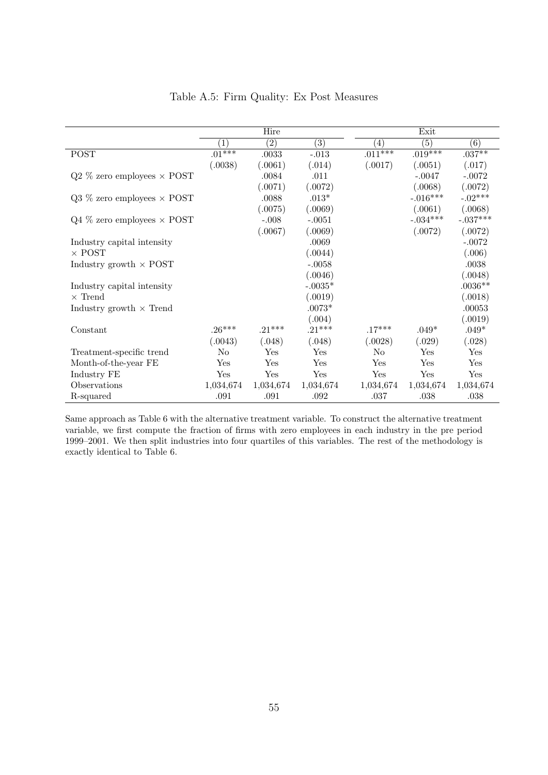|                                     | Hire              |                   |                  |                   | Exit       |            |
|-------------------------------------|-------------------|-------------------|------------------|-------------------|------------|------------|
|                                     | $\left( 1\right)$ | $\left( 2\right)$ | $\overline{(3)}$ | $\left( 4\right)$ | (5)        | (6)        |
| <b>POST</b>                         | $.01***$          | .0033             | $-.013$          | $.011***$         | $.019***$  | $.037***$  |
|                                     | (.0038)           | (.0061)           | (.014)           | (.0017)           | (.0051)    | (.017)     |
| $Q2\%$ zero employees $\times$ POST |                   | .0084             | .011             |                   | $-.0047$   | $-.0072$   |
|                                     |                   | (.0071)           | (.0072)          |                   | (.0068)    | (.0072)    |
| $Q3\%$ zero employees $\times$ POST |                   | .0088             | $.013*$          |                   | $-.016***$ | $-.02***$  |
|                                     |                   | (.0075)           | (.0069)          |                   | (.0061)    | (.0068)    |
| $Q4\%$ zero employees $\times$ POST |                   | $-.008$           | $-.0051$         |                   | $-.034***$ | $-.037***$ |
|                                     |                   | (.0067)           | (.0069)          |                   | (.0072)    | (.0072)    |
| Industry capital intensity          |                   |                   | .0069            |                   |            | $-.0072$   |
| $\times$ POST                       |                   |                   | (.0044)          |                   |            | (.006)     |
| Industry growth $\times$ POST       |                   |                   | $-.0058$         |                   |            | .0038      |
|                                     |                   |                   | (.0046)          |                   |            | (.0048)    |
| Industry capital intensity          |                   |                   | $-.0035*$        |                   |            | $.0036**$  |
| $\times$ Trend                      |                   |                   | (.0019)          |                   |            | (.0018)    |
| Industry growth $\times$ Trend      |                   |                   | $.0073*$         |                   |            | .00053     |
|                                     |                   |                   | (.004)           |                   |            | (.0019)    |
| Constant                            | $.26***$          | $.21***$          | $.21***$         | $.17***$          | $.049*$    | $.049*$    |
|                                     | (.0043)           | (.048)            | (.048)           | (.0028)           | (.029)     | (.028)     |
| Treatment-specific trend            | N <sub>0</sub>    | Yes               | Yes              | N <sub>0</sub>    | Yes        | Yes        |
| Month-of-the-year FE                | Yes               | Yes               | Yes              | Yes               | Yes        | Yes        |
| Industry FE                         | Yes               | Yes               | Yes              | Yes               | Yes        | Yes        |
| Observations                        | 1,034,674         | 1,034,674         | 1,034,674        | 1,034,674         | 1,034,674  | 1,034,674  |
| R-squared                           | .091              | .091              | .092             | .037              | .038       | .038       |

### Table A.5: Firm Quality: Ex Post Measures

Same approach as Table 6 with the alternative treatment variable. To construct the alternative treatment variable, we first compute the fraction of firms with zero employees in each industry in the pre period 1999–2001. We then split industries into four quartiles of this variables. The rest of the methodology is exactly identical to Table 6.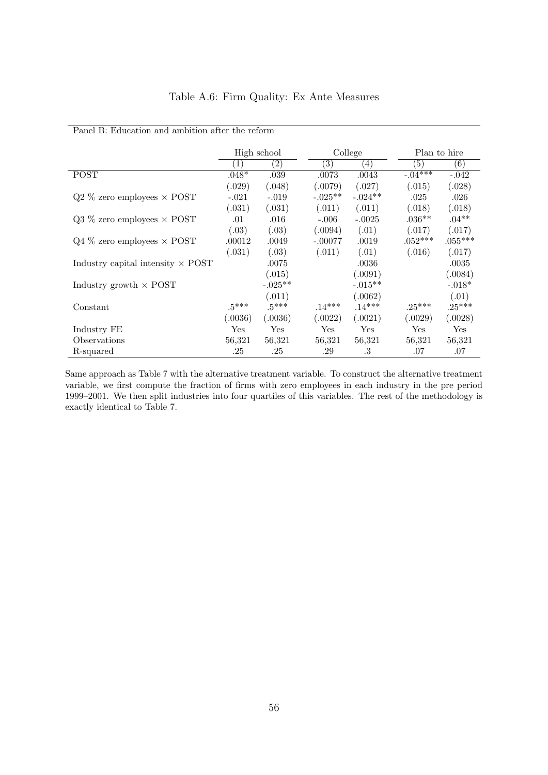| Panel B: Education and ambition after the reform |                  |             |                  |                  |              |           |
|--------------------------------------------------|------------------|-------------|------------------|------------------|--------------|-----------|
|                                                  |                  | High school |                  | College          | Plan to hire |           |
|                                                  | $\left(1\right)$ | (2)         | $\left(3\right)$ | $\left(4\right)$ | (5)          | (6)       |
| <b>POST</b>                                      | $.048*$          | .039        | .0073            | .0043            | $-.04***$    | $-.042$   |
|                                                  | (.029)           | (.048)      | (.0079)          | (.027)           | (.015)       | (.028)    |
| $Q2\%$ zero employees $\times$ POST              | $-.021$          | $-.019$     | $-.025**$        | $-.024**$        | .025         | .026      |
|                                                  | (.031)           | (.031)      | (.011)           | (.011)           | (.018)       | (.018)    |
| $Q3\%$ zero employees $\times$ POST              | .01              | $.016\,$    | $-.006$          | $-.0025$         | $.036**$     | $.04**$   |
|                                                  | (.03)            | (.03)       | (.0094)          | (.01)            | (.017)       | (.017)    |
| $Q4\%$ zero employees $\times$ POST              | .00012           | .0049       | $-.00077$        | .0019            | $.052***$    | $.055***$ |
|                                                  | (.031)           | (.03)       | (.011)           | (.01)            | (.016)       | (.017)    |
| Industry capital intensity $\times$ POST         |                  | .0075       |                  | .0036            |              | .0035     |
|                                                  |                  | (.015)      |                  | (.0091)          |              | (.0084)   |
| Industry growth $\times$ POST                    |                  | $-.025**$   |                  | $-.015**$        |              | $-.018*$  |
|                                                  |                  | (.011)      |                  | (.0062)          |              | (.01)     |
| Constant                                         | $.5***$          | $.5***$     | $.14***$         | $.14***$         | $.25***$     | $.25***$  |
|                                                  | (.0036)          | (.0036)     | (.0022)          | (.0021)          | (.0029)      | (.0028)   |
| Industry FE                                      | Yes              | Yes         | Yes              | Yes              | Yes          | Yes       |
| Observations                                     | 56,321           | 56,321      | 56,321           | 56,321           | 56,321       | 56,321    |
| R-squared                                        | .25              | .25         | .29              | .3               | .07          | .07       |

# Table A.6: Firm Quality: Ex Ante Measures

Same approach as Table 7 with the alternative treatment variable. To construct the alternative treatment variable, we first compute the fraction of firms with zero employees in each industry in the pre period 1999–2001. We then split industries into four quartiles of this variables. The rest of the methodology is exactly identical to Table 7.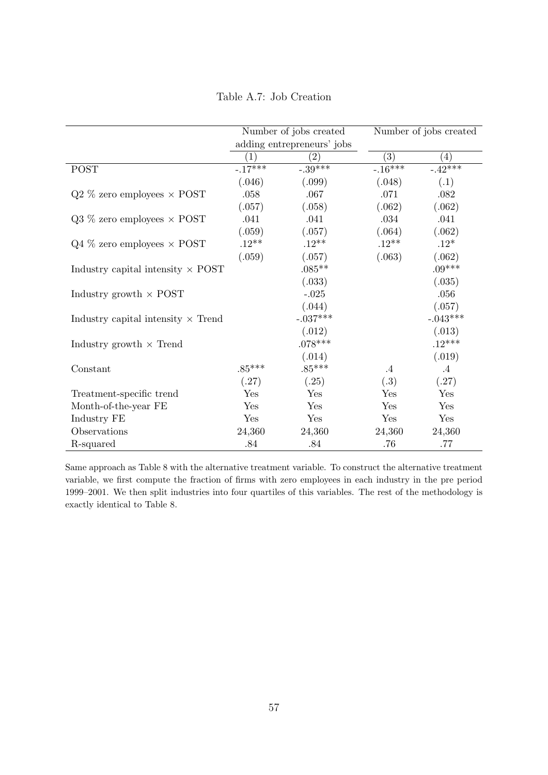Table A.7: Job Creation

|                                           |                   | Number of jobs created     |           | Number of jobs created |
|-------------------------------------------|-------------------|----------------------------|-----------|------------------------|
|                                           |                   | adding entrepreneurs' jobs |           |                        |
|                                           | $\left( 1\right)$ | $\left( 2\right)$          | (3)       | $\left( 4\right)$      |
| <b>POST</b>                               | $-17***$          | $-.39***$                  | $-.16***$ | $-.42***$              |
|                                           | (.046)            | (.099)                     | (.048)    | (.1)                   |
| $Q2\%$ zero employees $\times$ POST       | .058              | .067                       | .071      | .082                   |
|                                           | (.057)            | (.058)                     | (.062)    | (.062)                 |
| $Q3\%$ zero employees $\times$ POST       | .041              | .041                       | .034      | .041                   |
|                                           | (.059)            | (.057)                     | (.064)    | (.062)                 |
| $Q4\%$ zero employees $\times$ POST       | $.12**$           | $.12**$                    | $.12**$   | $.12*$                 |
|                                           | (.059)            | (.057)                     | (.063)    | (.062)                 |
| Industry capital intensity $\times$ POST  |                   | $.085**$                   |           | $.09***$               |
|                                           |                   | (.033)                     |           | (.035)                 |
| Industry growth $\times$ POST             |                   | $-.025$                    |           | .056                   |
|                                           |                   | (.044)                     |           | (.057)                 |
| Industry capital intensity $\times$ Trend |                   | $-.037***$                 |           | $-.043***$             |
|                                           |                   | (.012)                     |           | (.013)                 |
| Industry growth $\times$ Trend            |                   | $.078***$                  |           | $.12***$               |
|                                           |                   | (.014)                     |           | (.019)                 |
| Constant                                  | $.85***$          | $.85***$                   | $\cdot$ 4 | $\cdot$ 4              |
|                                           | (.27)             | (.25)                      | (.3)      | (.27)                  |
| Treatment-specific trend                  | Yes               | Yes                        | Yes       | Yes                    |
| Month-of-the-year FE                      | Yes               | Yes                        | Yes       | Yes                    |
| Industry FE                               | Yes               | Yes                        | Yes       | Yes                    |
| Observations                              | 24,360            | 24,360                     | 24,360    | 24,360                 |
| R-squared                                 | .84               | .84                        | .76       | .77                    |

Same approach as Table 8 with the alternative treatment variable. To construct the alternative treatment variable, we first compute the fraction of firms with zero employees in each industry in the pre period 1999–2001. We then split industries into four quartiles of this variables. The rest of the methodology is exactly identical to Table 8.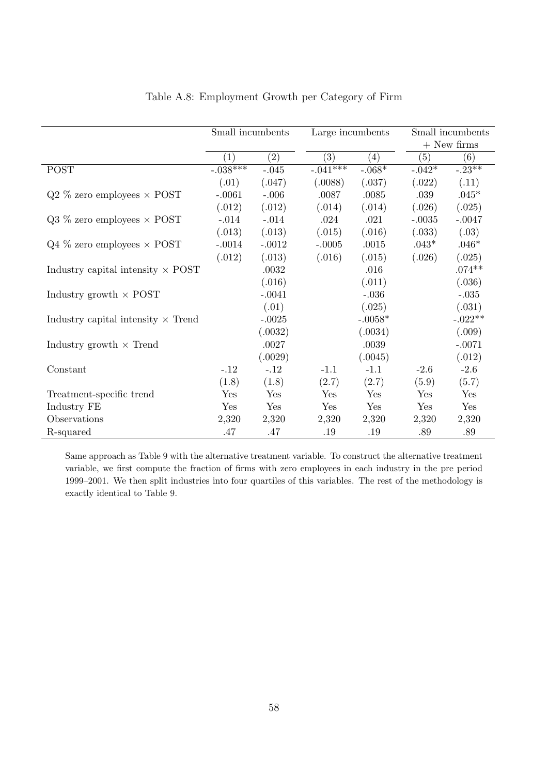|                                           | Small incumbents |                   | Large incumbents |                   |          | Small incumbents |  |  |
|-------------------------------------------|------------------|-------------------|------------------|-------------------|----------|------------------|--|--|
|                                           |                  |                   |                  |                   |          | $+$ New firms    |  |  |
|                                           | (1)              | $\left( 2\right)$ | (3)              | $\left( 4\right)$ | (5)      | (6)              |  |  |
| <b>POST</b>                               | $-.038***$       | $-.045$           | $-.041$ ***      | $-.068*$          | $-.042*$ | $-23**$          |  |  |
|                                           | (.01)            | (.047)            | (.0088)          | (.037)            | (.022)   | (.11)            |  |  |
| $Q2\%$ zero employees $\times$ POST       | $-.0061$         | $-.006$           | .0087            | .0085             | .039     | $.045*$          |  |  |
|                                           | (.012)           | (.012)            | (.014)           | (.014)            | (.026)   | (.025)           |  |  |
| $Q3\%$ zero employees $\times$ POST       | $-.014$          | $-.014$           | .024             | .021              | $-.0035$ | $-.0047$         |  |  |
|                                           | (.013)           | (.013)            | (.015)           | (.016)            | (.033)   | (.03)            |  |  |
| $Q4\%$ zero employees $\times$ POST       | $-.0014$         | $-.0012$          | $-.0005$         | .0015             | $.043*$  | $.046*$          |  |  |
|                                           | (.012)           | (.013)            | (.016)           | (.015)            | (.026)   | (.025)           |  |  |
| Industry capital intensity $\times$ POST  |                  | .0032             |                  | .016              |          | $.074**$         |  |  |
|                                           |                  | (.016)            |                  | (.011)            |          | (.036)           |  |  |
| Industry growth $\times$ POST             |                  | $-.0041$          |                  | $-.036$           |          | $-.035$          |  |  |
|                                           |                  | (.01)             |                  | (.025)            |          | (.031)           |  |  |
| Industry capital intensity $\times$ Trend |                  | $-.0025$          |                  | $-.0058*$         |          | $-.022**$        |  |  |
|                                           |                  | (.0032)           |                  | (.0034)           |          | (.009)           |  |  |
| Industry growth $\times$ Trend            |                  | .0027             |                  | $.0039\,$         |          | $-.0071$         |  |  |
|                                           |                  | (.0029)           |                  | (.0045)           |          | (.012)           |  |  |
| Constant                                  | $-.12$           | $-.12$            | $-1.1$           | $-1.1$            | $-2.6$   | $-2.6$           |  |  |
|                                           | (1.8)            | (1.8)             | (2.7)            | (2.7)             | (5.9)    | (5.7)            |  |  |
| Treatment-specific trend                  | Yes              | Yes               | Yes              | Yes               | Yes      | Yes              |  |  |
| Industry FE                               | Yes              | Yes               | Yes              | Yes               | Yes      | Yes              |  |  |
| Observations                              | 2,320            | 2,320             | 2,320            | 2,320             | 2,320    | 2,320            |  |  |
| R-squared                                 | .47              | .47               | .19              | .19               | .89      | .89              |  |  |

# Table A.8: Employment Growth per Category of Firm

Same approach as Table 9 with the alternative treatment variable. To construct the alternative treatment variable, we first compute the fraction of firms with zero employees in each industry in the pre period 1999–2001. We then split industries into four quartiles of this variables. The rest of the methodology is exactly identical to Table 9.